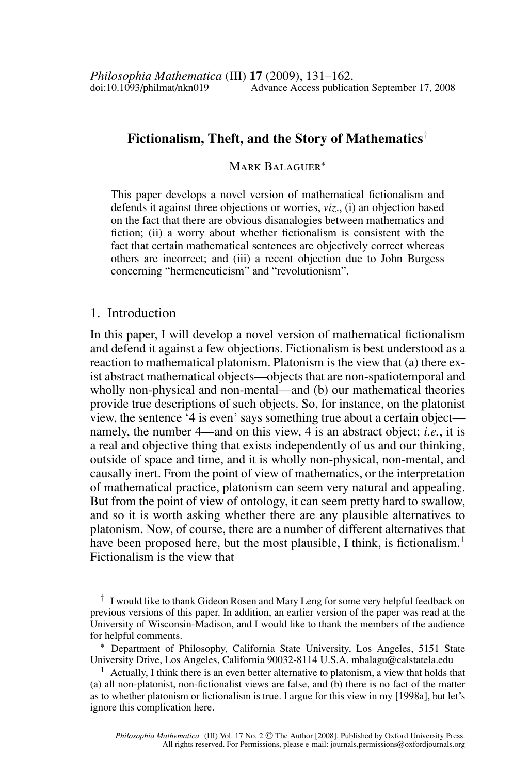# **Fictionalism, Theft, and the Story of Mathematics**†

# Mark Balaguer<sup>∗</sup>

This paper develops a novel version of mathematical fictionalism and defends it against three objections or worries, *viz*., (i) an objection based on the fact that there are obvious disanalogies between mathematics and fiction; (ii) a worry about whether fictionalism is consistent with the fact that certain mathematical sentences are objectively correct whereas others are incorrect; and (iii) a recent objection due to John Burgess concerning "hermeneuticism" and "revolutionism".

# 1. Introduction

In this paper, I will develop a novel version of mathematical fictionalism and defend it against a few objections. Fictionalism is best understood as a reaction to mathematical platonism. Platonism is the view that (a) there exist abstract mathematical objects—objects that are non-spatiotemporal and wholly non-physical and non-mental—and (b) our mathematical theories provide true descriptions of such objects. So, for instance, on the platonist view, the sentence '4 is even' says something true about a certain object namely, the number 4—and on this view, 4 is an abstract object; *i.e.*, it is a real and objective thing that exists independently of us and our thinking, outside of space and time, and it is wholly non-physical, non-mental, and causally inert. From the point of view of mathematics, or the interpretation of mathematical practice, platonism can seem very natural and appealing. But from the point of view of ontology, it can seem pretty hard to swallow, and so it is worth asking whether there are any plausible alternatives to platonism. Now, of course, there are a number of different alternatives that have been proposed here, but the most plausible, I think, is fictionalism.<sup>1</sup> Fictionalism is the view that

 $\dagger$  I would like to thank Gideon Rosen and Mary Leng for some very helpful feedback on previous versions of this paper. In addition, an earlier version of the paper was read at the University of Wisconsin-Madison, and I would like to thank the members of the audience for helpful comments.

∗ Department of Philosophy, California State University, Los Angeles, 5151 State University Drive, Los Angeles, California 90032-8114 U.S.A. mbalagu@calstatela.edu

 $1$  Actually, I think there is an even better alternative to platonism, a view that holds that (a) all non-platonist, non-fictionalist views are false, and (b) there is no fact of the matter as to whether platonism or fictionalism is true. I argue for this view in my [1998a], but let's ignore this complication here.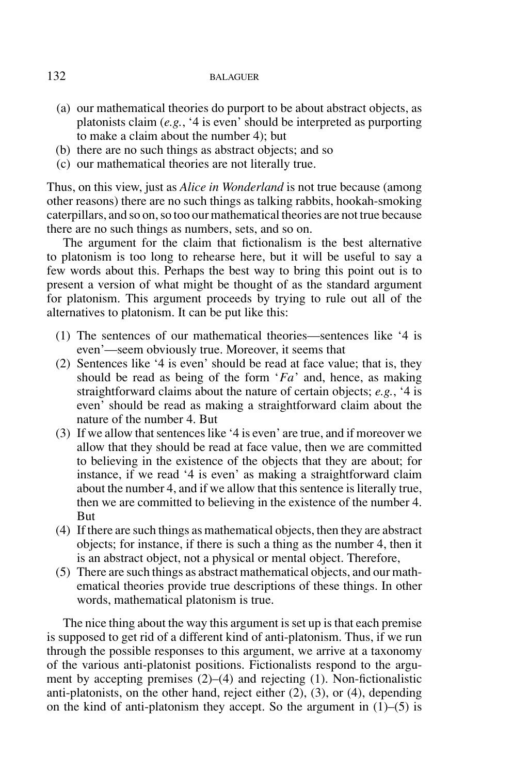- (a) our mathematical theories do purport to be about abstract objects, as platonists claim (*e.g.*, '4 is even' should be interpreted as purporting to make a claim about the number 4); but
- (b) there are no such things as abstract objects; and so
- (c) our mathematical theories are not literally true.

Thus, on this view, just as *Alice in Wonderland* is not true because (among other reasons) there are no such things as talking rabbits, hookah-smoking caterpillars, and so on, so too our mathematical theories are not true because there are no such things as numbers, sets, and so on.

The argument for the claim that fictionalism is the best alternative to platonism is too long to rehearse here, but it will be useful to say a few words about this. Perhaps the best way to bring this point out is to present a version of what might be thought of as the standard argument for platonism. This argument proceeds by trying to rule out all of the alternatives to platonism. It can be put like this:

- (1) The sentences of our mathematical theories—sentences like '4 is even'—seem obviously true. Moreover, it seems that
- (2) Sentences like '4 is even' should be read at face value; that is, they should be read as being of the form '*Fa*' and, hence, as making straightforward claims about the nature of certain objects; *e.g.*, '4 is even' should be read as making a straightforward claim about the nature of the number 4. But
- (3) If we allow that sentences like '4 is even' are true, and if moreover we allow that they should be read at face value, then we are committed to believing in the existence of the objects that they are about; for instance, if we read '4 is even' as making a straightforward claim about the number 4, and if we allow that this sentence is literally true, then we are committed to believing in the existence of the number 4. But
- (4) If there are such things as mathematical objects, then they are abstract objects; for instance, if there is such a thing as the number 4, then it is an abstract object, not a physical or mental object. Therefore,
- (5) There are such things as abstract mathematical objects, and our mathematical theories provide true descriptions of these things. In other words, mathematical platonism is true.

The nice thing about the way this argument is set up is that each premise is supposed to get rid of a different kind of anti-platonism. Thus, if we run through the possible responses to this argument, we arrive at a taxonomy of the various anti-platonist positions. Fictionalists respond to the argument by accepting premises (2)–(4) and rejecting (1). Non-fictionalistic anti-platonists, on the other hand, reject either (2), (3), or (4), depending on the kind of anti-platonism they accept. So the argument in  $(1)$ – $(5)$  is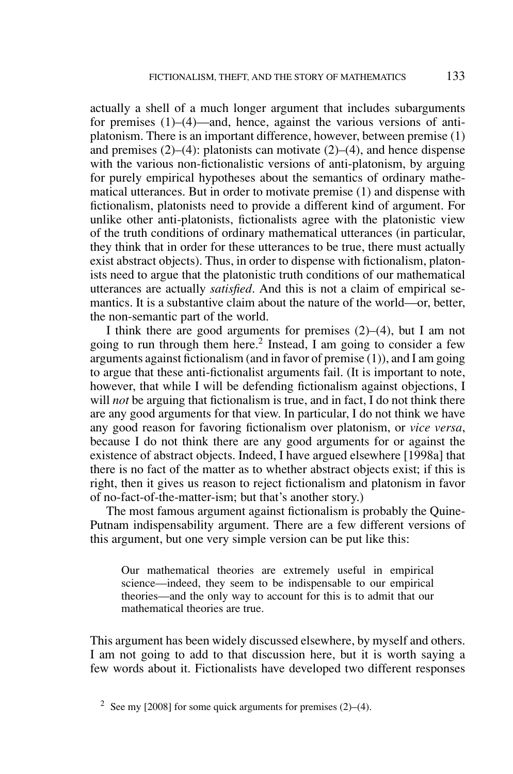actually a shell of a much longer argument that includes subarguments for premises (1)–(4)—and, hence, against the various versions of antiplatonism. There is an important difference, however, between premise (1) and premises  $(2)$ – $(4)$ : platonists can motivate  $(2)$ – $(4)$ , and hence dispense with the various non-fictionalistic versions of anti-platonism, by arguing for purely empirical hypotheses about the semantics of ordinary mathematical utterances. But in order to motivate premise (1) and dispense with fictionalism, platonists need to provide a different kind of argument. For unlike other anti-platonists, fictionalists agree with the platonistic view of the truth conditions of ordinary mathematical utterances (in particular, they think that in order for these utterances to be true, there must actually exist abstract objects). Thus, in order to dispense with fictionalism, platonists need to argue that the platonistic truth conditions of our mathematical utterances are actually *satisfied*. And this is not a claim of empirical semantics. It is a substantive claim about the nature of the world—or, better, the non-semantic part of the world.

I think there are good arguments for premises  $(2)$ – $(4)$ , but I am not going to run through them here.<sup>2</sup> Instead, I am going to consider a few arguments against fictionalism (and in favor of premise (1)), and I am going to argue that these anti-fictionalist arguments fail. (It is important to note, however, that while I will be defending fictionalism against objections, I will *not* be arguing that fictionalism is true, and in fact, I do not think there are any good arguments for that view. In particular, I do not think we have any good reason for favoring fictionalism over platonism, or *vice versa*, because I do not think there are any good arguments for or against the existence of abstract objects. Indeed, I have argued elsewhere [1998a] that there is no fact of the matter as to whether abstract objects exist; if this is right, then it gives us reason to reject fictionalism and platonism in favor of no-fact-of-the-matter-ism; but that's another story.)

The most famous argument against fictionalism is probably the Quine-Putnam indispensability argument. There are a few different versions of this argument, but one very simple version can be put like this:

Our mathematical theories are extremely useful in empirical science—indeed, they seem to be indispensable to our empirical theories—and the only way to account for this is to admit that our mathematical theories are true.

This argument has been widely discussed elsewhere, by myself and others. I am not going to add to that discussion here, but it is worth saying a few words about it. Fictionalists have developed two different responses

<sup>&</sup>lt;sup>2</sup> See my [2008] for some quick arguments for premises  $(2)$ – $(4)$ .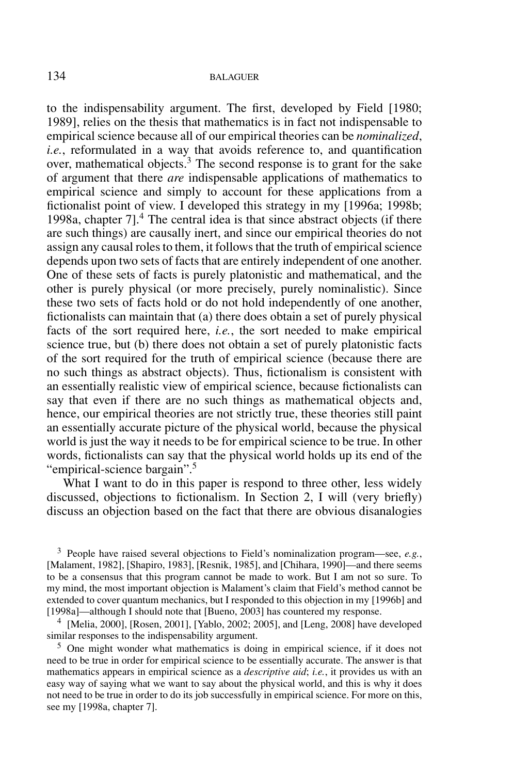to the indispensability argument. The first, developed by Field [1980; 1989], relies on the thesis that mathematics is in fact not indispensable to empirical science because all of our empirical theories can be *nominalized*, *i.e.*, reformulated in a way that avoids reference to, and quantification over, mathematical objects.3 The second response is to grant for the sake of argument that there *are* indispensable applications of mathematics to empirical science and simply to account for these applications from a fictionalist point of view. I developed this strategy in my [1996a; 1998b; 1998a, chapter  $7<sup>1</sup>$ . The central idea is that since abstract objects (if there are such things) are causally inert, and since our empirical theories do not assign any causal roles to them, it follows that the truth of empirical science depends upon two sets of facts that are entirely independent of one another. One of these sets of facts is purely platonistic and mathematical, and the other is purely physical (or more precisely, purely nominalistic). Since these two sets of facts hold or do not hold independently of one another, fictionalists can maintain that (a) there does obtain a set of purely physical facts of the sort required here, *i.e.*, the sort needed to make empirical science true, but (b) there does not obtain a set of purely platonistic facts of the sort required for the truth of empirical science (because there are no such things as abstract objects). Thus, fictionalism is consistent with an essentially realistic view of empirical science, because fictionalists can say that even if there are no such things as mathematical objects and, hence, our empirical theories are not strictly true, these theories still paint an essentially accurate picture of the physical world, because the physical world is just the way it needs to be for empirical science to be true. In other words, fictionalists can say that the physical world holds up its end of the "empirical-science bargain".<sup>5</sup>

What I want to do in this paper is respond to three other, less widely discussed, objections to fictionalism. In Section 2, I will (very briefly) discuss an objection based on the fact that there are obvious disanalogies

<sup>3</sup> People have raised several objections to Field's nominalization program—see, *e.g.*, [Malament, 1982], [Shapiro, 1983], [Resnik, 1985], and [Chihara, 1990]—and there seems to be a consensus that this program cannot be made to work. But I am not so sure. To my mind, the most important objection is Malament's claim that Field's method cannot be extended to cover quantum mechanics, but I responded to this objection in my [1996b] and [1998a]—although I should note that [Bueno, 2003] has countered my response.

<sup>4</sup> [Melia, 2000], [Rosen, 2001], [Yablo, 2002; 2005], and [Leng, 2008] have developed similar responses to the indispensability argument.

<sup>5</sup> One might wonder what mathematics is doing in empirical science, if it does not need to be true in order for empirical science to be essentially accurate. The answer is that mathematics appears in empirical science as a *descriptive aid*; *i.e.*, it provides us with an easy way of saying what we want to say about the physical world, and this is why it does not need to be true in order to do its job successfully in empirical science. For more on this, see my [1998a, chapter 7].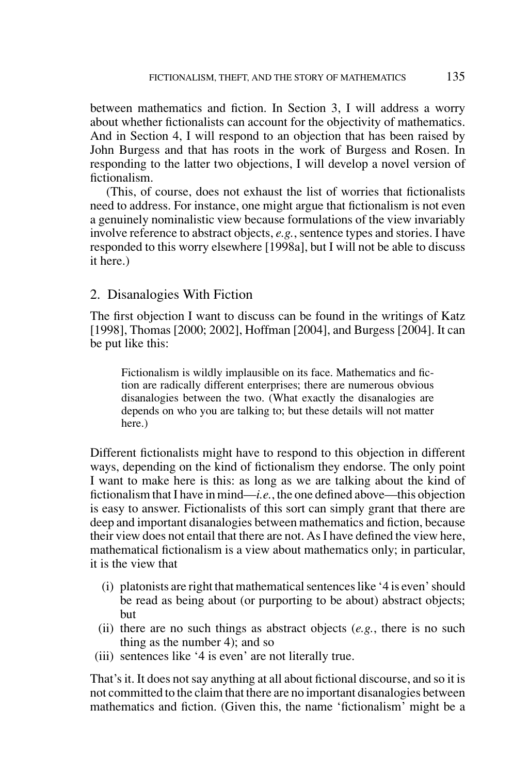between mathematics and fiction. In Section 3, I will address a worry about whether fictionalists can account for the objectivity of mathematics. And in Section 4, I will respond to an objection that has been raised by John Burgess and that has roots in the work of Burgess and Rosen. In responding to the latter two objections, I will develop a novel version of fictionalism.

(This, of course, does not exhaust the list of worries that fictionalists need to address. For instance, one might argue that fictionalism is not even a genuinely nominalistic view because formulations of the view invariably involve reference to abstract objects, *e.g.*, sentence types and stories. I have responded to this worry elsewhere [1998a], but I will not be able to discuss it here.)

# 2. Disanalogies With Fiction

The first objection I want to discuss can be found in the writings of Katz [1998], Thomas [2000; 2002], Hoffman [2004], and Burgess [2004]. It can be put like this:

Fictionalism is wildly implausible on its face. Mathematics and fiction are radically different enterprises; there are numerous obvious disanalogies between the two. (What exactly the disanalogies are depends on who you are talking to; but these details will not matter here.)

Different fictionalists might have to respond to this objection in different ways, depending on the kind of fictionalism they endorse. The only point I want to make here is this: as long as we are talking about the kind of fictionalism that I have in mind—*i.e.*, the one defined above—this objection is easy to answer. Fictionalists of this sort can simply grant that there are deep and important disanalogies between mathematics and fiction, because their view does not entail that there are not. As I have defined the view here, mathematical fictionalism is a view about mathematics only; in particular, it is the view that

- (i) platonists are right that mathematical sentences like '4 is even' should be read as being about (or purporting to be about) abstract objects; but
- (ii) there are no such things as abstract objects (*e.g.*, there is no such thing as the number 4); and so
- (iii) sentences like '4 is even' are not literally true.

That's it. It does not say anything at all about fictional discourse, and so it is not committed to the claim that there are no important disanalogies between mathematics and fiction. (Given this, the name 'fictionalism' might be a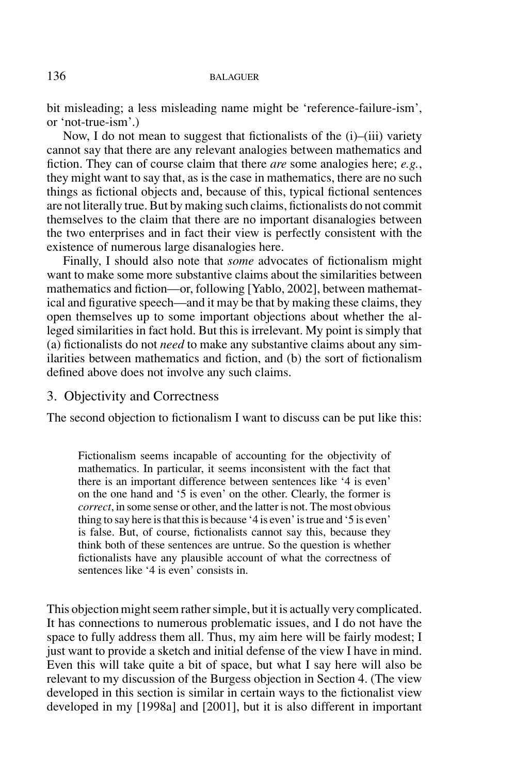bit misleading; a less misleading name might be 'reference-failure-ism', or 'not-true-ism'.)

Now, I do not mean to suggest that fictionalists of the (i)–(iii) variety cannot say that there are any relevant analogies between mathematics and fiction. They can of course claim that there *are* some analogies here; *e.g.*, they might want to say that, as is the case in mathematics, there are no such things as fictional objects and, because of this, typical fictional sentences are not literally true. But by making such claims, fictionalists do not commit themselves to the claim that there are no important disanalogies between the two enterprises and in fact their view is perfectly consistent with the existence of numerous large disanalogies here.

Finally, I should also note that *some* advocates of fictionalism might want to make some more substantive claims about the similarities between mathematics and fiction—or, following [Yablo, 2002], between mathematical and figurative speech—and it may be that by making these claims, they open themselves up to some important objections about whether the alleged similarities in fact hold. But this is irrelevant. My point is simply that (a) fictionalists do not *need* to make any substantive claims about any similarities between mathematics and fiction, and (b) the sort of fictionalism defined above does not involve any such claims.

# 3. Objectivity and Correctness

The second objection to fictionalism I want to discuss can be put like this:

Fictionalism seems incapable of accounting for the objectivity of mathematics. In particular, it seems inconsistent with the fact that there is an important difference between sentences like '4 is even' on the one hand and '5 is even' on the other. Clearly, the former is *correct*, in some sense or other, and the latter is not. The most obvious thing to say here is that this is because '4 is even' is true and '5 is even' is false. But, of course, fictionalists cannot say this, because they think both of these sentences are untrue. So the question is whether fictionalists have any plausible account of what the correctness of sentences like '4 is even' consists in.

This objection might seem rather simple, but it is actually very complicated. It has connections to numerous problematic issues, and I do not have the space to fully address them all. Thus, my aim here will be fairly modest; I just want to provide a sketch and initial defense of the view I have in mind. Even this will take quite a bit of space, but what I say here will also be relevant to my discussion of the Burgess objection in Section 4. (The view developed in this section is similar in certain ways to the fictionalist view developed in my [1998a] and [2001], but it is also different in important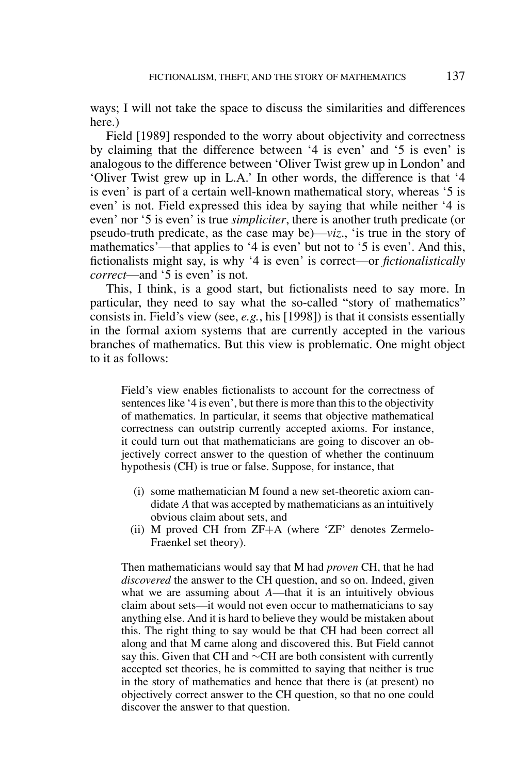ways; I will not take the space to discuss the similarities and differences here.)

Field [1989] responded to the worry about objectivity and correctness by claiming that the difference between '4 is even' and '5 is even' is analogous to the difference between 'Oliver Twist grew up in London' and 'Oliver Twist grew up in L.A.' In other words, the difference is that '4 is even' is part of a certain well-known mathematical story, whereas '5 is even' is not. Field expressed this idea by saying that while neither '4 is even' nor '5 is even' is true *simpliciter*, there is another truth predicate (or pseudo-truth predicate, as the case may be)—*viz*., 'is true in the story of mathematics'—that applies to '4 is even' but not to '5 is even'. And this, fictionalists might say, is why '4 is even' is correct—or *fictionalistically correct*—and '5 is even' is not.

This, I think, is a good start, but fictionalists need to say more. In particular, they need to say what the so-called "story of mathematics" consists in. Field's view (see, *e.g.*, his [1998]) is that it consists essentially in the formal axiom systems that are currently accepted in the various branches of mathematics. But this view is problematic. One might object to it as follows:

Field's view enables fictionalists to account for the correctness of sentences like '4 is even', but there is more than this to the objectivity of mathematics. In particular, it seems that objective mathematical correctness can outstrip currently accepted axioms. For instance, it could turn out that mathematicians are going to discover an objectively correct answer to the question of whether the continuum hypothesis (CH) is true or false. Suppose, for instance, that

- (i) some mathematician M found a new set-theoretic axiom candidate *A* that was accepted by mathematicians as an intuitively obvious claim about sets, and
- (ii) M proved CH from ZF+A (where 'ZF' denotes Zermelo-Fraenkel set theory).

Then mathematicians would say that M had *proven* CH, that he had *discovered* the answer to the CH question, and so on. Indeed, given what we are assuming about *A*—that it is an intuitively obvious claim about sets—it would not even occur to mathematicians to say anything else. And it is hard to believe they would be mistaken about this. The right thing to say would be that CH had been correct all along and that M came along and discovered this. But Field cannot say this. Given that CH and ∼CH are both consistent with currently accepted set theories, he is committed to saying that neither is true in the story of mathematics and hence that there is (at present) no objectively correct answer to the CH question, so that no one could discover the answer to that question.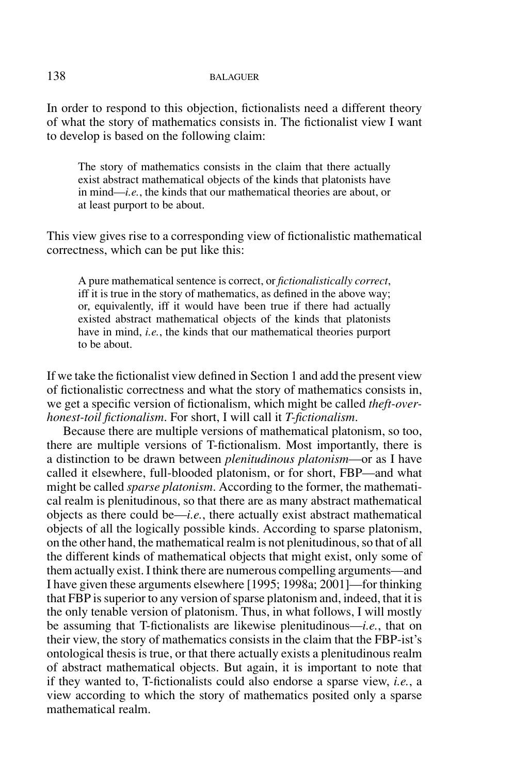In order to respond to this objection, fictionalists need a different theory of what the story of mathematics consists in. The fictionalist view I want to develop is based on the following claim:

The story of mathematics consists in the claim that there actually exist abstract mathematical objects of the kinds that platonists have in mind—*i.e.*, the kinds that our mathematical theories are about, or at least purport to be about.

This view gives rise to a corresponding view of fictionalistic mathematical correctness, which can be put like this:

A pure mathematical sentence is correct, or *fictionalistically correct*, iff it is true in the story of mathematics, as defined in the above way; or, equivalently, iff it would have been true if there had actually existed abstract mathematical objects of the kinds that platonists have in mind, *i.e.*, the kinds that our mathematical theories purport to be about.

If we take the fictionalist view defined in Section 1 and add the present view of fictionalistic correctness and what the story of mathematics consists in, we get a specific version of fictionalism, which might be called *theft-overhonest-toil fictionalism*. For short, I will call it *T-fictionalism*.

Because there are multiple versions of mathematical platonism, so too, there are multiple versions of T-fictionalism. Most importantly, there is a distinction to be drawn between *plenitudinous platonism*—or as I have called it elsewhere, full-blooded platonism, or for short, FBP—and what might be called *sparse platonism*. According to the former, the mathematical realm is plenitudinous, so that there are as many abstract mathematical objects as there could be—*i.e.*, there actually exist abstract mathematical objects of all the logically possible kinds. According to sparse platonism, on the other hand, the mathematical realm is not plenitudinous, so that of all the different kinds of mathematical objects that might exist, only some of them actually exist. I think there are numerous compelling arguments—and I have given these arguments elsewhere [1995; 1998a; 2001]—for thinking that FBP is superior to any version of sparse platonism and, indeed, that it is the only tenable version of platonism. Thus, in what follows, I will mostly be assuming that T-fictionalists are likewise plenitudinous—*i.e.*, that on their view, the story of mathematics consists in the claim that the FBP-ist's ontological thesis is true, or that there actually exists a plenitudinous realm of abstract mathematical objects. But again, it is important to note that if they wanted to, T-fictionalists could also endorse a sparse view, *i.e.*, a view according to which the story of mathematics posited only a sparse mathematical realm.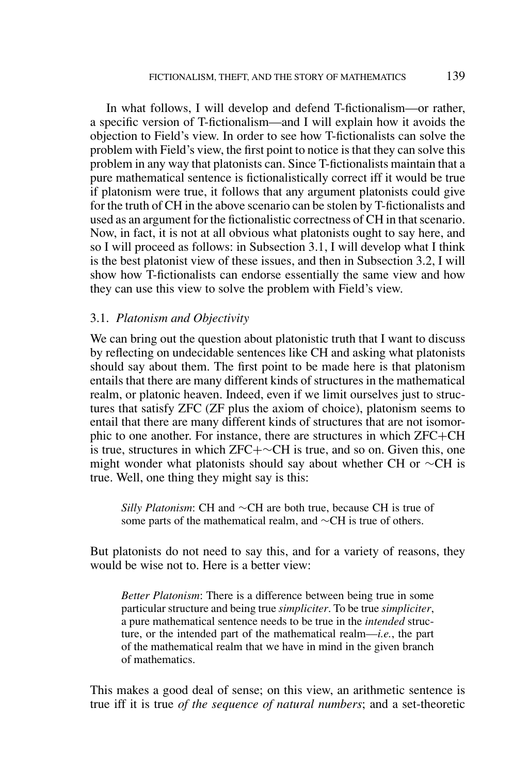In what follows, I will develop and defend T-fictionalism—or rather, a specific version of T-fictionalism—and I will explain how it avoids the objection to Field's view. In order to see how T-fictionalists can solve the problem with Field's view, the first point to notice is that they can solve this problem in any way that platonists can. Since T-fictionalists maintain that a pure mathematical sentence is fictionalistically correct iff it would be true if platonism were true, it follows that any argument platonists could give for the truth of CH in the above scenario can be stolen by T-fictionalists and used as an argument for the fictionalistic correctness of CH in that scenario. Now, in fact, it is not at all obvious what platonists ought to say here, and so I will proceed as follows: in Subsection 3.1, I will develop what I think is the best platonist view of these issues, and then in Subsection 3.2, I will show how T-fictionalists can endorse essentially the same view and how they can use this view to solve the problem with Field's view.

# 3.1. *Platonism and Objectivity*

We can bring out the question about platonistic truth that I want to discuss by reflecting on undecidable sentences like CH and asking what platonists should say about them. The first point to be made here is that platonism entails that there are many different kinds of structures in the mathematical realm, or platonic heaven. Indeed, even if we limit ourselves just to structures that satisfy ZFC (ZF plus the axiom of choice), platonism seems to entail that there are many different kinds of structures that are not isomorphic to one another. For instance, there are structures in which ZFC+CH is true, structures in which ZFC+∼CH is true, and so on. Given this, one might wonder what platonists should say about whether CH or ∼CH is true. Well, one thing they might say is this:

*Silly Platonism*: CH and ∼CH are both true, because CH is true of some parts of the mathematical realm, and ∼CH is true of others.

But platonists do not need to say this, and for a variety of reasons, they would be wise not to. Here is a better view:

*Better Platonism*: There is a difference between being true in some particular structure and being true *simpliciter*. To be true *simpliciter*, a pure mathematical sentence needs to be true in the *intended* structure, or the intended part of the mathematical realm—*i.e.*, the part of the mathematical realm that we have in mind in the given branch of mathematics.

This makes a good deal of sense; on this view, an arithmetic sentence is true iff it is true *of the sequence of natural numbers*; and a set-theoretic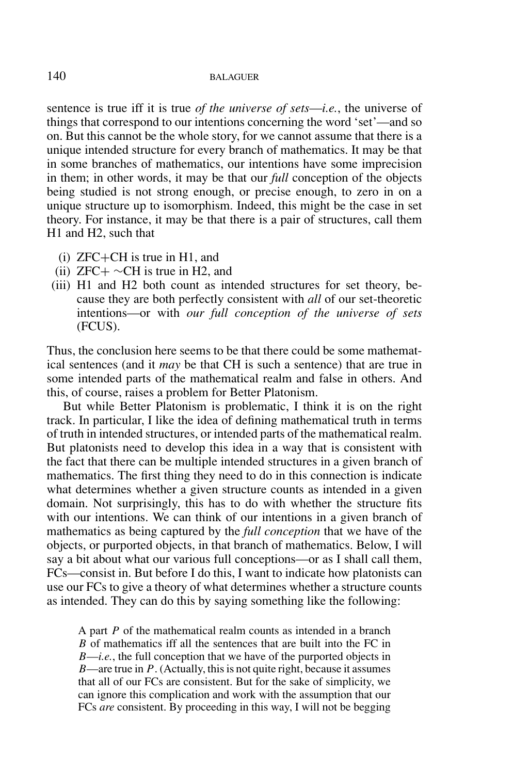sentence is true iff it is true *of the universe of sets*—*i.e.*, the universe of things that correspond to our intentions concerning the word 'set'—and so on. But this cannot be the whole story, for we cannot assume that there is a unique intended structure for every branch of mathematics. It may be that in some branches of mathematics, our intentions have some imprecision in them; in other words, it may be that our *full* conception of the objects being studied is not strong enough, or precise enough, to zero in on a unique structure up to isomorphism. Indeed, this might be the case in set theory. For instance, it may be that there is a pair of structures, call them H1 and H2, such that

- (i) ZFC+CH is true in H1, and
- (ii) ZFC+  $\sim$ CH is true in H2, and
- (iii) H1 and H2 both count as intended structures for set theory, because they are both perfectly consistent with *all* of our set-theoretic intentions—or with *our full conception of the universe of sets* (FCUS).

Thus, the conclusion here seems to be that there could be some mathematical sentences (and it *may* be that CH is such a sentence) that are true in some intended parts of the mathematical realm and false in others. And this, of course, raises a problem for Better Platonism.

But while Better Platonism is problematic, I think it is on the right track. In particular, I like the idea of defining mathematical truth in terms of truth in intended structures, or intended parts of the mathematical realm. But platonists need to develop this idea in a way that is consistent with the fact that there can be multiple intended structures in a given branch of mathematics. The first thing they need to do in this connection is indicate what determines whether a given structure counts as intended in a given domain. Not surprisingly, this has to do with whether the structure fits with our intentions. We can think of our intentions in a given branch of mathematics as being captured by the *full conception* that we have of the objects, or purported objects, in that branch of mathematics. Below, I will say a bit about what our various full conceptions—or as I shall call them, FCs—consist in. But before I do this, I want to indicate how platonists can use our FCs to give a theory of what determines whether a structure counts as intended. They can do this by saying something like the following:

A part *P* of the mathematical realm counts as intended in a branch *B* of mathematics iff all the sentences that are built into the FC in *B*—*i.e.*, the full conception that we have of the purported objects in *B*—are true in *P*. (Actually, this is not quite right, because it assumes that all of our FCs are consistent. But for the sake of simplicity, we can ignore this complication and work with the assumption that our FCs *are* consistent. By proceeding in this way, I will not be begging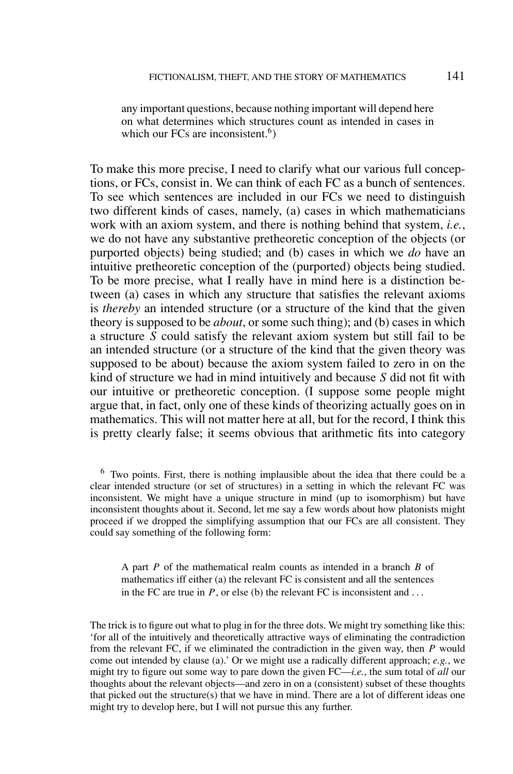any important questions, because nothing important will depend here on what determines which structures count as intended in cases in which our FCs are inconsistent. $6$ )

To make this more precise, I need to clarify what our various full conceptions, or FCs, consist in. We can think of each FC as a bunch of sentences. To see which sentences are included in our FCs we need to distinguish two different kinds of cases, namely, (a) cases in which mathematicians work with an axiom system, and there is nothing behind that system, *i.e.*, we do not have any substantive pretheoretic conception of the objects (or purported objects) being studied; and (b) cases in which we *do* have an intuitive pretheoretic conception of the (purported) objects being studied. To be more precise, what I really have in mind here is a distinction between (a) cases in which any structure that satisfies the relevant axioms is *thereby* an intended structure (or a structure of the kind that the given theory is supposed to be *about*, or some such thing); and (b) cases in which a structure *S* could satisfy the relevant axiom system but still fail to be an intended structure (or a structure of the kind that the given theory was supposed to be about) because the axiom system failed to zero in on the kind of structure we had in mind intuitively and because *S* did not fit with our intuitive or pretheoretic conception. (I suppose some people might argue that, in fact, only one of these kinds of theorizing actually goes on in mathematics. This will not matter here at all, but for the record, I think this is pretty clearly false; it seems obvious that arithmetic fits into category

 $6\,$  Two points. First, there is nothing implausible about the idea that there could be a clear intended structure (or set of structures) in a setting in which the relevant FC was inconsistent. We might have a unique structure in mind (up to isomorphism) but have inconsistent thoughts about it. Second, let me say a few words about how platonists might proceed if we dropped the simplifying assumption that our FCs are all consistent. They could say something of the following form:

A part *P* of the mathematical realm counts as intended in a branch *B* of mathematics iff either (a) the relevant FC is consistent and all the sentences in the FC are true in  $P$ , or else (b) the relevant FC is inconsistent and ...

The trick is to figure out what to plug in for the three dots. We might try something like this: 'for all of the intuitively and theoretically attractive ways of eliminating the contradiction from the relevant FC, if we eliminated the contradiction in the given way, then *P* would come out intended by clause (a).' Or we might use a radically different approach; *e.g.*, we might try to figure out some way to pare down the given FC—*i.e.*, the sum total of *all* our thoughts about the relevant objects—and zero in on a (consistent) subset of these thoughts that picked out the structure(s) that we have in mind. There are a lot of different ideas one might try to develop here, but I will not pursue this any further.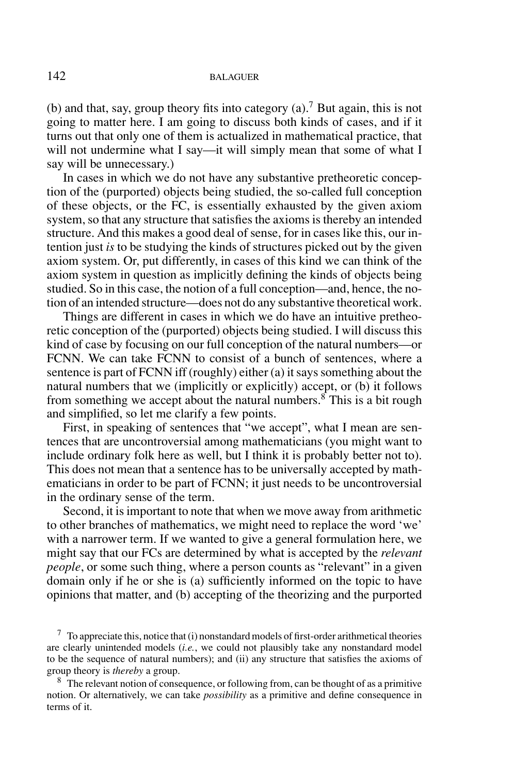(b) and that, say, group theory fits into category  $(a)$ .<sup>7</sup> But again, this is not going to matter here. I am going to discuss both kinds of cases, and if it turns out that only one of them is actualized in mathematical practice, that will not undermine what I say—it will simply mean that some of what I say will be unnecessary.)

In cases in which we do not have any substantive pretheoretic conception of the (purported) objects being studied, the so-called full conception of these objects, or the FC, is essentially exhausted by the given axiom system, so that any structure that satisfies the axioms is thereby an intended structure. And this makes a good deal of sense, for in cases like this, our intention just *is* to be studying the kinds of structures picked out by the given axiom system. Or, put differently, in cases of this kind we can think of the axiom system in question as implicitly defining the kinds of objects being studied. So in this case, the notion of a full conception—and, hence, the notion of an intended structure—does not do any substantive theoretical work.

Things are different in cases in which we do have an intuitive pretheoretic conception of the (purported) objects being studied. I will discuss this kind of case by focusing on our full conception of the natural numbers—or FCNN. We can take FCNN to consist of a bunch of sentences, where a sentence is part of FCNN iff (roughly) either (a) it says something about the natural numbers that we (implicitly or explicitly) accept, or (b) it follows from something we accept about the natural numbers.<sup>8</sup> This is a bit rough and simplified, so let me clarify a few points.

First, in speaking of sentences that "we accept", what I mean are sentences that are uncontroversial among mathematicians (you might want to include ordinary folk here as well, but I think it is probably better not to). This does not mean that a sentence has to be universally accepted by mathematicians in order to be part of FCNN; it just needs to be uncontroversial in the ordinary sense of the term.

Second, it is important to note that when we move away from arithmetic to other branches of mathematics, we might need to replace the word 'we' with a narrower term. If we wanted to give a general formulation here, we might say that our FCs are determined by what is accepted by the *relevant people*, or some such thing, where a person counts as "relevant" in a given domain only if he or she is (a) sufficiently informed on the topic to have opinions that matter, and (b) accepting of the theorizing and the purported

 $\frac{7}{7}$  To appreciate this, notice that (i) nonstandard models of first-order arithmetical theories are clearly unintended models (*i.e.*, we could not plausibly take any nonstandard model to be the sequence of natural numbers); and (ii) any structure that satisfies the axioms of group theory is *thereby* a group.

<sup>&</sup>lt;sup>8</sup> The relevant notion of consequence, or following from, can be thought of as a primitive notion. Or alternatively, we can take *possibility* as a primitive and define consequence in terms of it.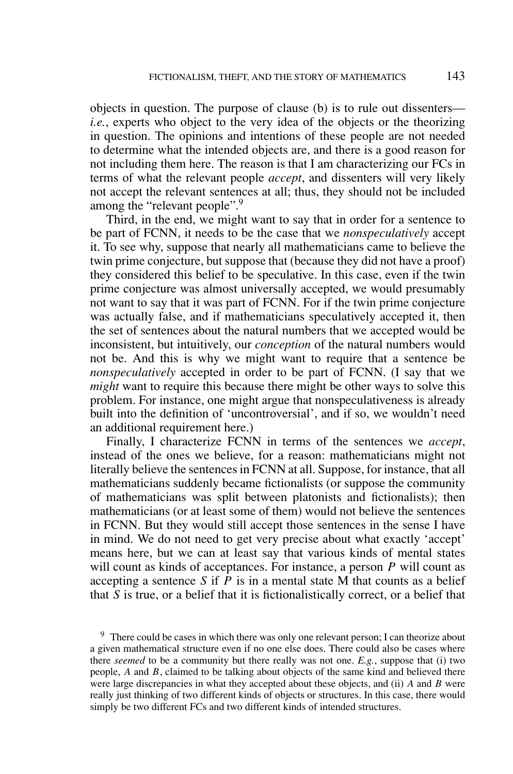objects in question. The purpose of clause (b) is to rule out dissenters *i.e.*, experts who object to the very idea of the objects or the theorizing in question. The opinions and intentions of these people are not needed to determine what the intended objects are, and there is a good reason for not including them here. The reason is that I am characterizing our FCs in terms of what the relevant people *accept*, and dissenters will very likely not accept the relevant sentences at all; thus, they should not be included among the "relevant people".<sup>9</sup>

Third, in the end, we might want to say that in order for a sentence to be part of FCNN, it needs to be the case that we *nonspeculatively* accept it. To see why, suppose that nearly all mathematicians came to believe the twin prime conjecture, but suppose that (because they did not have a proof) they considered this belief to be speculative. In this case, even if the twin prime conjecture was almost universally accepted, we would presumably not want to say that it was part of FCNN. For if the twin prime conjecture was actually false, and if mathematicians speculatively accepted it, then the set of sentences about the natural numbers that we accepted would be inconsistent, but intuitively, our *conception* of the natural numbers would not be. And this is why we might want to require that a sentence be *nonspeculatively* accepted in order to be part of FCNN. (I say that we *might* want to require this because there might be other ways to solve this problem. For instance, one might argue that nonspeculativeness is already built into the definition of 'uncontroversial', and if so, we wouldn't need an additional requirement here.)

Finally, I characterize FCNN in terms of the sentences we *accept*, instead of the ones we believe, for a reason: mathematicians might not literally believe the sentences in FCNN at all. Suppose, for instance, that all mathematicians suddenly became fictionalists (or suppose the community of mathematicians was split between platonists and fictionalists); then mathematicians (or at least some of them) would not believe the sentences in FCNN. But they would still accept those sentences in the sense I have in mind. We do not need to get very precise about what exactly 'accept' means here, but we can at least say that various kinds of mental states will count as kinds of acceptances. For instance, a person *P* will count as accepting a sentence  $S$  if  $P$  is in a mental state  $\overline{M}$  that counts as a belief that *S* is true, or a belief that it is fictionalistically correct, or a belief that

<sup>&</sup>lt;sup>9</sup> There could be cases in which there was only one relevant person; I can theorize about a given mathematical structure even if no one else does. There could also be cases where there *seemed* to be a community but there really was not one. *E.g.*, suppose that (i) two people, *A* and *B*, claimed to be talking about objects of the same kind and believed there were large discrepancies in what they accepted about these objects, and (ii) *A* and *B* were really just thinking of two different kinds of objects or structures. In this case, there would simply be two different FCs and two different kinds of intended structures.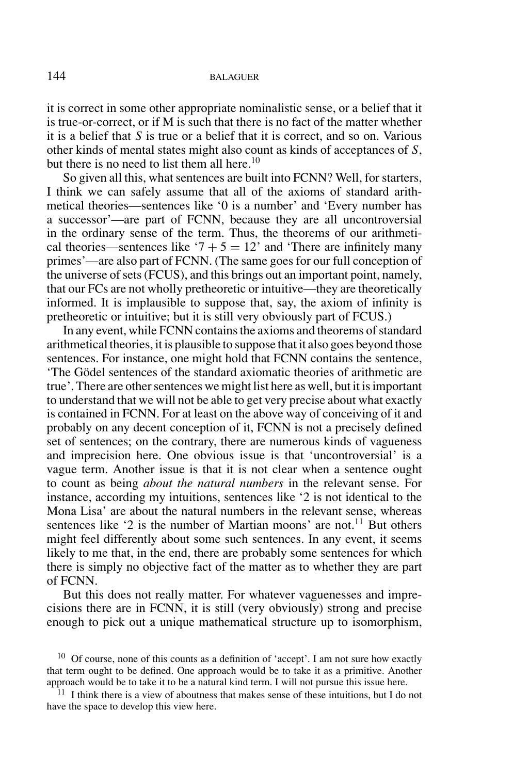it is correct in some other appropriate nominalistic sense, or a belief that it is true-or-correct, or if M is such that there is no fact of the matter whether it is a belief that *S* is true or a belief that it is correct, and so on. Various other kinds of mental states might also count as kinds of acceptances of *S*, but there is no need to list them all here.<sup>10</sup>

So given all this, what sentences are built into FCNN? Well, for starters, I think we can safely assume that all of the axioms of standard arithmetical theories—sentences like '0 is a number' and 'Every number has a successor'—are part of FCNN, because they are all uncontroversial in the ordinary sense of the term. Thus, the theorems of our arithmetical theories—sentences like ' $7 + 5 = 12$ ' and 'There are infinitely many primes'—are also part of FCNN. (The same goes for our full conception of the universe of sets (FCUS), and this brings out an important point, namely, that our FCs are not wholly pretheoretic or intuitive—they are theoretically informed. It is implausible to suppose that, say, the axiom of infinity is pretheoretic or intuitive; but it is still very obviously part of FCUS.)

In any event, while FCNN contains the axioms and theorems of standard arithmetical theories, it is plausible to suppose that it also goes beyond those sentences. For instance, one might hold that FCNN contains the sentence, 'The Godel sentences of the standard axiomatic theories of arithmetic are ¨ true'. There are other sentences we might list here as well, but it is important to understand that we will not be able to get very precise about what exactly is contained in FCNN. For at least on the above way of conceiving of it and probably on any decent conception of it, FCNN is not a precisely defined set of sentences; on the contrary, there are numerous kinds of vagueness and imprecision here. One obvious issue is that 'uncontroversial' is a vague term. Another issue is that it is not clear when a sentence ought to count as being *about the natural numbers* in the relevant sense. For instance, according my intuitions, sentences like '2 is not identical to the Mona Lisa' are about the natural numbers in the relevant sense, whereas sentences like  $2$  is the number of Martian moons' are not.<sup>11</sup> But others might feel differently about some such sentences. In any event, it seems likely to me that, in the end, there are probably some sentences for which there is simply no objective fact of the matter as to whether they are part of FCNN.

But this does not really matter. For whatever vaguenesses and imprecisions there are in FCNN, it is still (very obviously) strong and precise enough to pick out a unique mathematical structure up to isomorphism,

 $10$  Of course, none of this counts as a definition of 'accept'. I am not sure how exactly that term ought to be defined. One approach would be to take it as a primitive. Another approach would be to take it to be a natural kind term. I will not pursue this issue here.

 $11$  I think there is a view of aboutness that makes sense of these intuitions, but I do not have the space to develop this view here.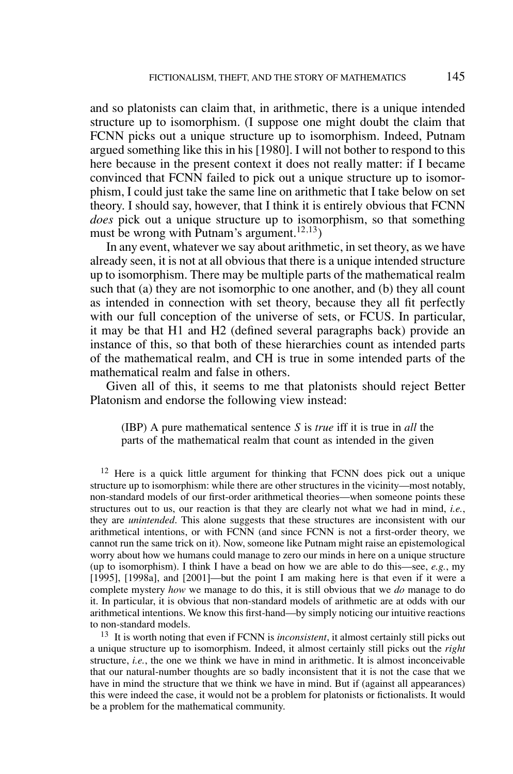and so platonists can claim that, in arithmetic, there is a unique intended structure up to isomorphism. (I suppose one might doubt the claim that FCNN picks out a unique structure up to isomorphism. Indeed, Putnam argued something like this in his [1980]. I will not bother to respond to this here because in the present context it does not really matter: if I became convinced that FCNN failed to pick out a unique structure up to isomorphism, I could just take the same line on arithmetic that I take below on set theory. I should say, however, that I think it is entirely obvious that FCNN *does* pick out a unique structure up to isomorphism, so that something must be wrong with Putnam's argument.<sup>12,13</sup>)

In any event, whatever we say about arithmetic, in set theory, as we have already seen, it is not at all obvious that there is a unique intended structure up to isomorphism. There may be multiple parts of the mathematical realm such that (a) they are not isomorphic to one another, and (b) they all count as intended in connection with set theory, because they all fit perfectly with our full conception of the universe of sets, or FCUS. In particular, it may be that H1 and H2 (defined several paragraphs back) provide an instance of this, so that both of these hierarchies count as intended parts of the mathematical realm, and CH is true in some intended parts of the mathematical realm and false in others.

Given all of this, it seems to me that platonists should reject Better Platonism and endorse the following view instead:

(IBP) A pure mathematical sentence *S* is *true* iff it is true in *all* the parts of the mathematical realm that count as intended in the given

 $12$  Here is a quick little argument for thinking that FCNN does pick out a unique structure up to isomorphism: while there are other structures in the vicinity—most notably, non-standard models of our first-order arithmetical theories—when someone points these structures out to us, our reaction is that they are clearly not what we had in mind, *i.e.*, they are *unintended*. This alone suggests that these structures are inconsistent with our arithmetical intentions, or with FCNN (and since FCNN is not a first-order theory, we cannot run the same trick on it). Now, someone like Putnam might raise an epistemological worry about how we humans could manage to zero our minds in here on a unique structure (up to isomorphism). I think I have a bead on how we are able to do this—see, *e.g.*, my [1995], [1998a], and [2001]—but the point I am making here is that even if it were a complete mystery *how* we manage to do this, it is still obvious that we *do* manage to do it. In particular, it is obvious that non-standard models of arithmetic are at odds with our arithmetical intentions. We know this first-hand—by simply noticing our intuitive reactions to non-standard models.

<sup>13</sup> It is worth noting that even if FCNN is *inconsistent*, it almost certainly still picks out a unique structure up to isomorphism. Indeed, it almost certainly still picks out the *right* structure, *i.e.*, the one we think we have in mind in arithmetic. It is almost inconceivable that our natural-number thoughts are so badly inconsistent that it is not the case that we have in mind the structure that we think we have in mind. But if (against all appearances) this were indeed the case, it would not be a problem for platonists or fictionalists. It would be a problem for the mathematical community.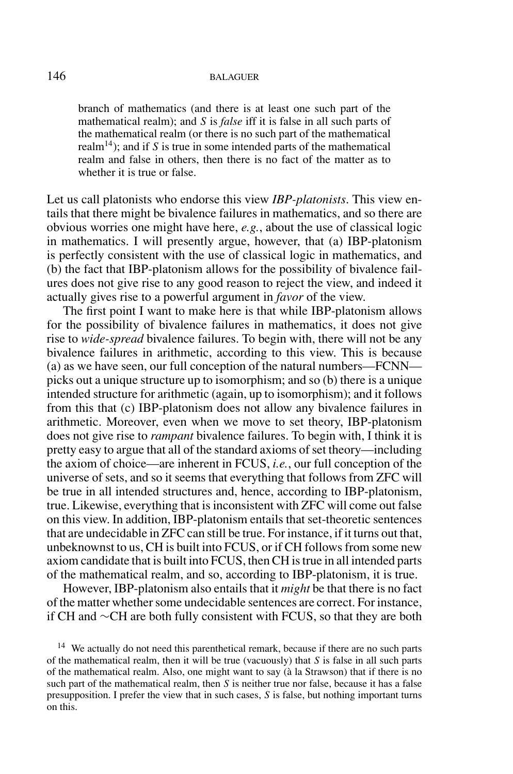branch of mathematics (and there is at least one such part of the mathematical realm); and *S* is *false* iff it is false in all such parts of the mathematical realm (or there is no such part of the mathematical realm<sup>14</sup>); and if *S* is true in some intended parts of the mathematical realm and false in others, then there is no fact of the matter as to whether it is true or false.

Let us call platonists who endorse this view *IBP-platonists*. This view entails that there might be bivalence failures in mathematics, and so there are obvious worries one might have here, *e.g.*, about the use of classical logic in mathematics. I will presently argue, however, that (a) IBP-platonism is perfectly consistent with the use of classical logic in mathematics, and (b) the fact that IBP-platonism allows for the possibility of bivalence failures does not give rise to any good reason to reject the view, and indeed it actually gives rise to a powerful argument in *favor* of the view.

The first point I want to make here is that while IBP-platonism allows for the possibility of bivalence failures in mathematics, it does not give rise to *wide-spread* bivalence failures. To begin with, there will not be any bivalence failures in arithmetic, according to this view. This is because (a) as we have seen, our full conception of the natural numbers—FCNN picks out a unique structure up to isomorphism; and so (b) there is a unique intended structure for arithmetic (again, up to isomorphism); and it follows from this that (c) IBP-platonism does not allow any bivalence failures in arithmetic. Moreover, even when we move to set theory, IBP-platonism does not give rise to *rampant* bivalence failures. To begin with, I think it is pretty easy to argue that all of the standard axioms of set theory—including the axiom of choice—are inherent in FCUS, *i.e.*, our full conception of the universe of sets, and so it seems that everything that follows from ZFC will be true in all intended structures and, hence, according to IBP-platonism, true. Likewise, everything that is inconsistent with ZFC will come out false on this view. In addition, IBP-platonism entails that set-theoretic sentences that are undecidable in ZFC can still be true. For instance, if it turns out that, unbeknownst to us, CH is built into FCUS, or if CH follows from some new axiom candidate that is built into FCUS, then CH is true in all intended parts of the mathematical realm, and so, according to IBP-platonism, it is true.

However, IBP-platonism also entails that it *might* be that there is no fact of the matter whether some undecidable sentences are correct. For instance, if CH and ∼CH are both fully consistent with FCUS, so that they are both

<sup>14</sup> We actually do not need this parenthetical remark, because if there are no such parts of the mathematical realm, then it will be true (vacuously) that *S* is false in all such parts of the mathematical realm. Also, one might want to say (à la Strawson) that if there is no such part of the mathematical realm, then *S* is neither true nor false, because it has a false presupposition. I prefer the view that in such cases, *S* is false, but nothing important turns on this.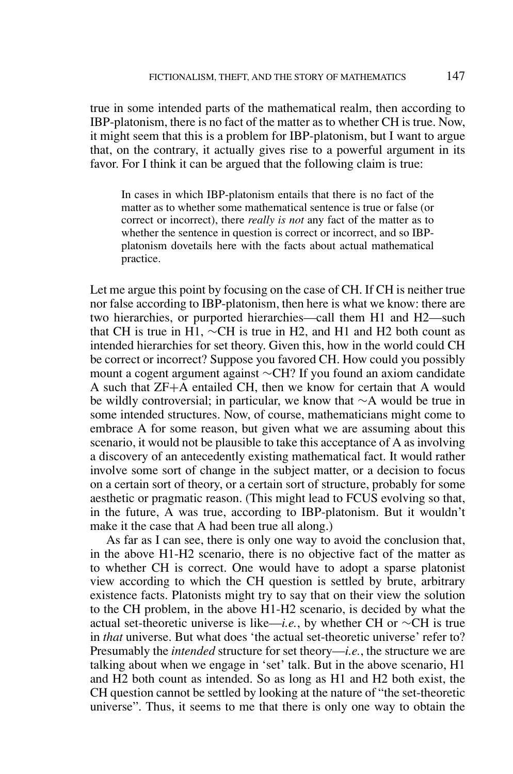true in some intended parts of the mathematical realm, then according to IBP-platonism, there is no fact of the matter as to whether CH is true. Now, it might seem that this is a problem for IBP-platonism, but I want to argue that, on the contrary, it actually gives rise to a powerful argument in its favor. For I think it can be argued that the following claim is true:

In cases in which IBP-platonism entails that there is no fact of the matter as to whether some mathematical sentence is true or false (or correct or incorrect), there *really is not* any fact of the matter as to whether the sentence in question is correct or incorrect, and so IBPplatonism dovetails here with the facts about actual mathematical practice.

Let me argue this point by focusing on the case of CH. If CH is neither true nor false according to IBP-platonism, then here is what we know: there are two hierarchies, or purported hierarchies—call them H1 and H2—such that CH is true in H1, ∼CH is true in H2, and H1 and H2 both count as intended hierarchies for set theory. Given this, how in the world could CH be correct or incorrect? Suppose you favored CH. How could you possibly mount a cogent argument against ∼CH? If you found an axiom candidate A such that ZF+A entailed CH, then we know for certain that A would be wildly controversial; in particular, we know that ∼A would be true in some intended structures. Now, of course, mathematicians might come to embrace A for some reason, but given what we are assuming about this scenario, it would not be plausible to take this acceptance of A as involving a discovery of an antecedently existing mathematical fact. It would rather involve some sort of change in the subject matter, or a decision to focus on a certain sort of theory, or a certain sort of structure, probably for some aesthetic or pragmatic reason. (This might lead to FCUS evolving so that, in the future, A was true, according to IBP-platonism. But it wouldn't make it the case that A had been true all along.)

As far as I can see, there is only one way to avoid the conclusion that, in the above H1-H2 scenario, there is no objective fact of the matter as to whether CH is correct. One would have to adopt a sparse platonist view according to which the CH question is settled by brute, arbitrary existence facts. Platonists might try to say that on their view the solution to the CH problem, in the above H1-H2 scenario, is decided by what the actual set-theoretic universe is like—*i.e.*, by whether CH or ∼CH is true in *that* universe. But what does 'the actual set-theoretic universe' refer to? Presumably the *intended* structure for set theory—*i.e.*, the structure we are talking about when we engage in 'set' talk. But in the above scenario, H1 and H2 both count as intended. So as long as H1 and H2 both exist, the CH question cannot be settled by looking at the nature of "the set-theoretic universe". Thus, it seems to me that there is only one way to obtain the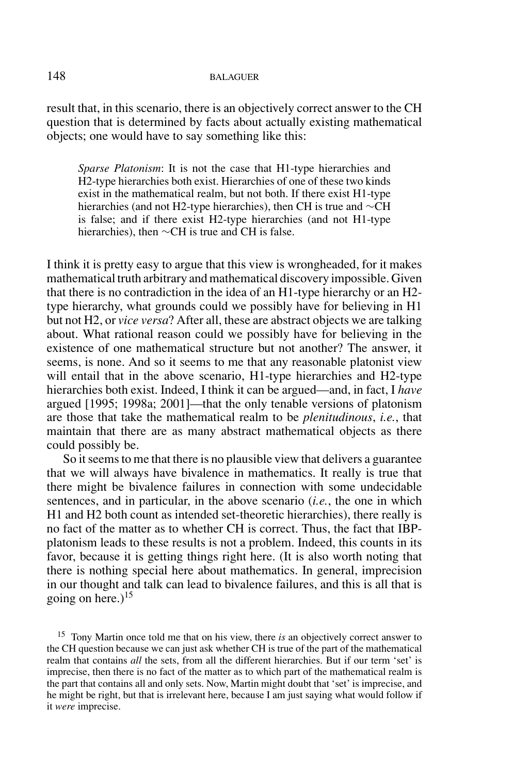result that, in this scenario, there is an objectively correct answer to the CH question that is determined by facts about actually existing mathematical objects; one would have to say something like this:

*Sparse Platonism*: It is not the case that H1-type hierarchies and H2-type hierarchies both exist. Hierarchies of one of these two kinds exist in the mathematical realm, but not both. If there exist H1-type hierarchies (and not H2-type hierarchies), then CH is true and ∼CH is false; and if there exist H2-type hierarchies (and not H1-type hierarchies), then ∼CH is true and CH is false.

I think it is pretty easy to argue that this view is wrongheaded, for it makes mathematical truth arbitrary and mathematical discovery impossible. Given that there is no contradiction in the idea of an H1-type hierarchy or an H2 type hierarchy, what grounds could we possibly have for believing in H1 but not H2, or *vice versa*? After all, these are abstract objects we are talking about. What rational reason could we possibly have for believing in the existence of one mathematical structure but not another? The answer, it seems, is none. And so it seems to me that any reasonable platonist view will entail that in the above scenario, H1-type hierarchies and H2-type hierarchies both exist. Indeed, I think it can be argued—and, in fact, I *have* argued [1995; 1998a; 2001]—that the only tenable versions of platonism are those that take the mathematical realm to be *plenitudinous*, *i.e.*, that maintain that there are as many abstract mathematical objects as there could possibly be.

So it seems to me that there is no plausible view that delivers a guarantee that we will always have bivalence in mathematics. It really is true that there might be bivalence failures in connection with some undecidable sentences, and in particular, in the above scenario (*i.e.*, the one in which H1 and H2 both count as intended set-theoretic hierarchies), there really is no fact of the matter as to whether CH is correct. Thus, the fact that IBPplatonism leads to these results is not a problem. Indeed, this counts in its favor, because it is getting things right here. (It is also worth noting that there is nothing special here about mathematics. In general, imprecision in our thought and talk can lead to bivalence failures, and this is all that is going on here.) $15$ 

<sup>15</sup> Tony Martin once told me that on his view, there *is* an objectively correct answer to the CH question because we can just ask whether CH is true of the part of the mathematical realm that contains *all* the sets, from all the different hierarchies. But if our term 'set' is imprecise, then there is no fact of the matter as to which part of the mathematical realm is the part that contains all and only sets. Now, Martin might doubt that 'set' is imprecise, and he might be right, but that is irrelevant here, because I am just saying what would follow if it *were* imprecise.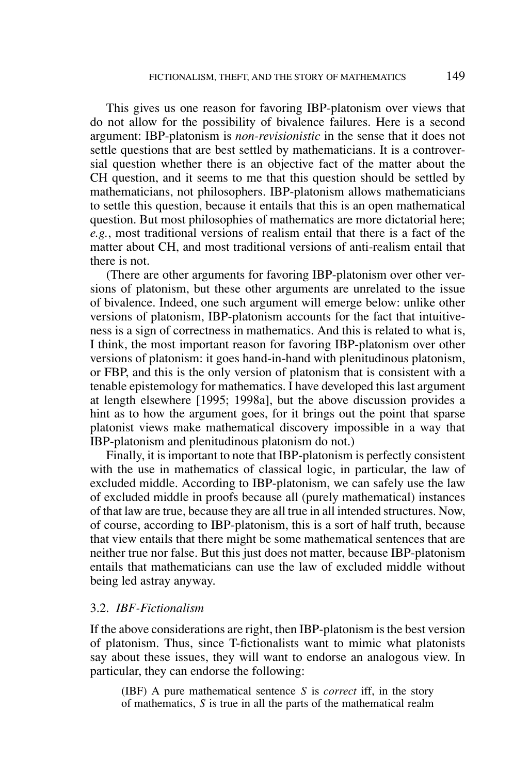This gives us one reason for favoring IBP-platonism over views that do not allow for the possibility of bivalence failures. Here is a second argument: IBP-platonism is *non-revisionistic* in the sense that it does not settle questions that are best settled by mathematicians. It is a controversial question whether there is an objective fact of the matter about the CH question, and it seems to me that this question should be settled by mathematicians, not philosophers. IBP-platonism allows mathematicians to settle this question, because it entails that this is an open mathematical question. But most philosophies of mathematics are more dictatorial here; *e.g.*, most traditional versions of realism entail that there is a fact of the matter about CH, and most traditional versions of anti-realism entail that there is not.

(There are other arguments for favoring IBP-platonism over other versions of platonism, but these other arguments are unrelated to the issue of bivalence. Indeed, one such argument will emerge below: unlike other versions of platonism, IBP-platonism accounts for the fact that intuitiveness is a sign of correctness in mathematics. And this is related to what is, I think, the most important reason for favoring IBP-platonism over other versions of platonism: it goes hand-in-hand with plenitudinous platonism, or FBP, and this is the only version of platonism that is consistent with a tenable epistemology for mathematics. I have developed this last argument at length elsewhere [1995; 1998a], but the above discussion provides a hint as to how the argument goes, for it brings out the point that sparse platonist views make mathematical discovery impossible in a way that IBP-platonism and plenitudinous platonism do not.)

Finally, it is important to note that IBP-platonism is perfectly consistent with the use in mathematics of classical logic, in particular, the law of excluded middle. According to IBP-platonism, we can safely use the law of excluded middle in proofs because all (purely mathematical) instances of that law are true, because they are all true in all intended structures. Now, of course, according to IBP-platonism, this is a sort of half truth, because that view entails that there might be some mathematical sentences that are neither true nor false. But this just does not matter, because IBP-platonism entails that mathematicians can use the law of excluded middle without being led astray anyway.

#### 3.2. *IBF-Fictionalism*

If the above considerations are right, then IBP-platonism is the best version of platonism. Thus, since T-fictionalists want to mimic what platonists say about these issues, they will want to endorse an analogous view. In particular, they can endorse the following:

(IBF) A pure mathematical sentence *S* is *correct* iff, in the story of mathematics, *S* is true in all the parts of the mathematical realm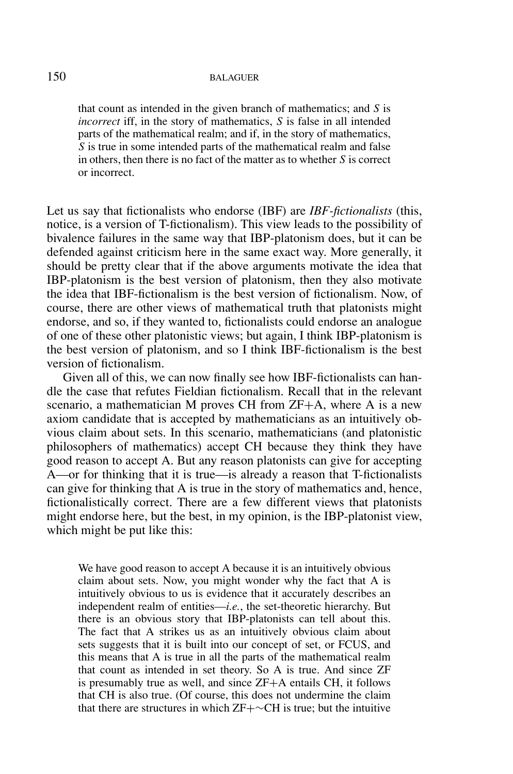that count as intended in the given branch of mathematics; and *S* is *incorrect* iff, in the story of mathematics, *S* is false in all intended parts of the mathematical realm; and if, in the story of mathematics, *S* is true in some intended parts of the mathematical realm and false in others, then there is no fact of the matter as to whether *S* is correct or incorrect.

Let us say that fictionalists who endorse (IBF) are *IBF-fictionalists* (this, notice, is a version of T-fictionalism). This view leads to the possibility of bivalence failures in the same way that IBP-platonism does, but it can be defended against criticism here in the same exact way. More generally, it should be pretty clear that if the above arguments motivate the idea that IBP-platonism is the best version of platonism, then they also motivate the idea that IBF-fictionalism is the best version of fictionalism. Now, of course, there are other views of mathematical truth that platonists might endorse, and so, if they wanted to, fictionalists could endorse an analogue of one of these other platonistic views; but again, I think IBP-platonism is the best version of platonism, and so I think IBF-fictionalism is the best version of fictionalism.

Given all of this, we can now finally see how IBF-fictionalists can handle the case that refutes Fieldian fictionalism. Recall that in the relevant scenario, a mathematician M proves CH from ZF+A, where A is a new axiom candidate that is accepted by mathematicians as an intuitively obvious claim about sets. In this scenario, mathematicians (and platonistic philosophers of mathematics) accept CH because they think they have good reason to accept A. But any reason platonists can give for accepting A—or for thinking that it is true—is already a reason that T-fictionalists can give for thinking that A is true in the story of mathematics and, hence, fictionalistically correct. There are a few different views that platonists might endorse here, but the best, in my opinion, is the IBP-platonist view, which might be put like this:

We have good reason to accept A because it is an intuitively obvious claim about sets. Now, you might wonder why the fact that A is intuitively obvious to us is evidence that it accurately describes an independent realm of entities—*i.e.*, the set-theoretic hierarchy. But there is an obvious story that IBP-platonists can tell about this. The fact that A strikes us as an intuitively obvious claim about sets suggests that it is built into our concept of set, or FCUS, and this means that A is true in all the parts of the mathematical realm that count as intended in set theory. So A is true. And since ZF is presumably true as well, and since ZF+A entails CH, it follows that CH is also true. (Of course, this does not undermine the claim that there are structures in which ZF+∼CH is true; but the intuitive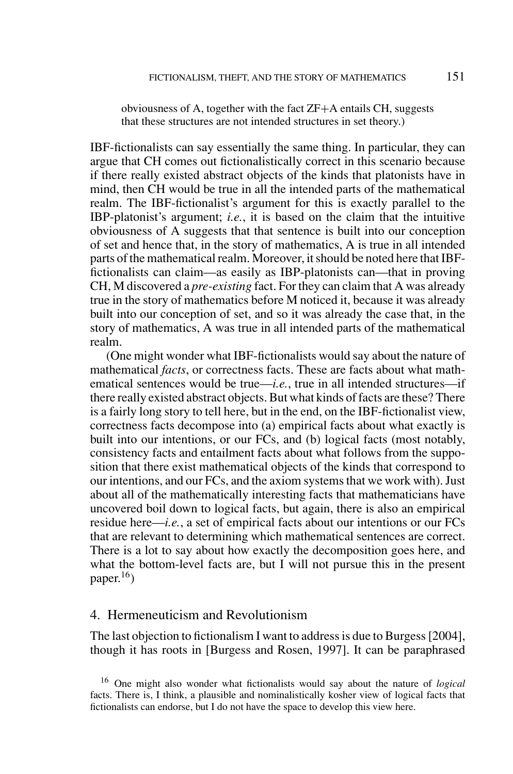obviousness of A, together with the fact ZF+A entails CH, suggests that these structures are not intended structures in set theory.)

IBF-fictionalists can say essentially the same thing. In particular, they can argue that CH comes out fictionalistically correct in this scenario because if there really existed abstract objects of the kinds that platonists have in mind, then CH would be true in all the intended parts of the mathematical realm. The IBF-fictionalist's argument for this is exactly parallel to the IBP-platonist's argument; *i.e.*, it is based on the claim that the intuitive obviousness of A suggests that that sentence is built into our conception of set and hence that, in the story of mathematics, A is true in all intended parts of the mathematical realm. Moreover, it should be noted here that IBFfictionalists can claim—as easily as IBP-platonists can—that in proving CH, M discovered a *pre-existing* fact. For they can claim that A was already true in the story of mathematics before M noticed it, because it was already built into our conception of set, and so it was already the case that, in the story of mathematics, A was true in all intended parts of the mathematical realm.

(One might wonder what IBF-fictionalists would say about the nature of mathematical *facts*, or correctness facts. These are facts about what mathematical sentences would be true—*i.e.*, true in all intended structures—if there really existed abstract objects. But what kinds of facts are these? There is a fairly long story to tell here, but in the end, on the IBF-fictionalist view, correctness facts decompose into (a) empirical facts about what exactly is built into our intentions, or our FCs, and (b) logical facts (most notably, consistency facts and entailment facts about what follows from the supposition that there exist mathematical objects of the kinds that correspond to our intentions, and our FCs, and the axiom systems that we work with). Just about all of the mathematically interesting facts that mathematicians have uncovered boil down to logical facts, but again, there is also an empirical residue here—*i.e.*, a set of empirical facts about our intentions or our FCs that are relevant to determining which mathematical sentences are correct. There is a lot to say about how exactly the decomposition goes here, and what the bottom-level facts are, but I will not pursue this in the present paper. $^{16}$ )

# 4. Hermeneuticism and Revolutionism

The last objection to fictionalism I want to address is due to Burgess [2004], though it has roots in [Burgess and Rosen, 1997]. It can be paraphrased

<sup>16</sup> One might also wonder what fictionalists would say about the nature of *logical* facts. There is, I think, a plausible and nominalistically kosher view of logical facts that fictionalists can endorse, but I do not have the space to develop this view here.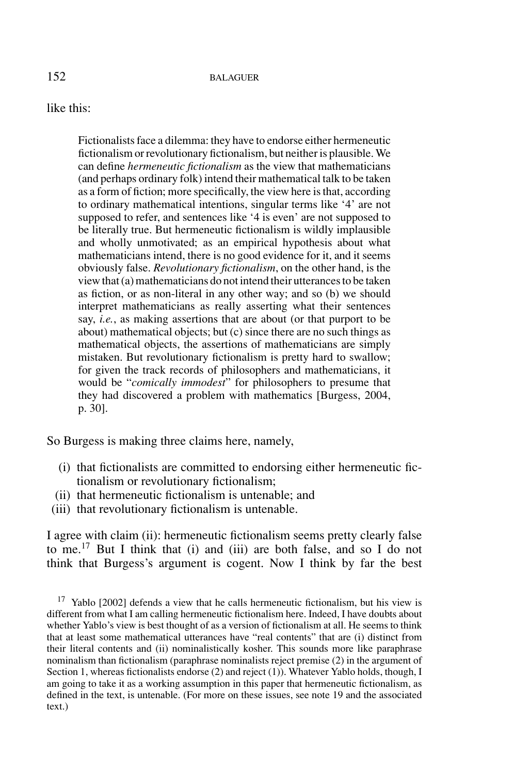like this:

Fictionalists face a dilemma: they have to endorse either hermeneutic fictionalism or revolutionary fictionalism, but neither is plausible. We can define *hermeneutic fictionalism* as the view that mathematicians (and perhaps ordinary folk) intend their mathematical talk to be taken as a form of fiction; more specifically, the view here is that, according to ordinary mathematical intentions, singular terms like '4' are not supposed to refer, and sentences like '4 is even' are not supposed to be literally true. But hermeneutic fictionalism is wildly implausible and wholly unmotivated; as an empirical hypothesis about what mathematicians intend, there is no good evidence for it, and it seems obviously false. *Revolutionary fictionalism*, on the other hand, is the view that (a) mathematicians do not intend their utterances to be taken as fiction, or as non-literal in any other way; and so (b) we should interpret mathematicians as really asserting what their sentences say, *i.e.*, as making assertions that are about (or that purport to be about) mathematical objects; but (c) since there are no such things as mathematical objects, the assertions of mathematicians are simply mistaken. But revolutionary fictionalism is pretty hard to swallow; for given the track records of philosophers and mathematicians, it would be "*comically immodest*" for philosophers to presume that they had discovered a problem with mathematics [Burgess, 2004, p. 30].

So Burgess is making three claims here, namely,

- (i) that fictionalists are committed to endorsing either hermeneutic fictionalism or revolutionary fictionalism;
- (ii) that hermeneutic fictionalism is untenable; and
- (iii) that revolutionary fictionalism is untenable.

I agree with claim (ii): hermeneutic fictionalism seems pretty clearly false to me.17 But I think that (i) and (iii) are both false, and so I do not think that Burgess's argument is cogent. Now I think by far the best

 $17$  Yablo [2002] defends a view that he calls hermeneutic fictionalism, but his view is different from what I am calling hermeneutic fictionalism here. Indeed, I have doubts about whether Yablo's view is best thought of as a version of fictionalism at all. He seems to think that at least some mathematical utterances have "real contents" that are (i) distinct from their literal contents and (ii) nominalistically kosher. This sounds more like paraphrase nominalism than fictionalism (paraphrase nominalists reject premise (2) in the argument of Section 1, whereas fictionalists endorse (2) and reject (1)). Whatever Yablo holds, though, I am going to take it as a working assumption in this paper that hermeneutic fictionalism, as defined in the text, is untenable. (For more on these issues, see note 19 and the associated text.)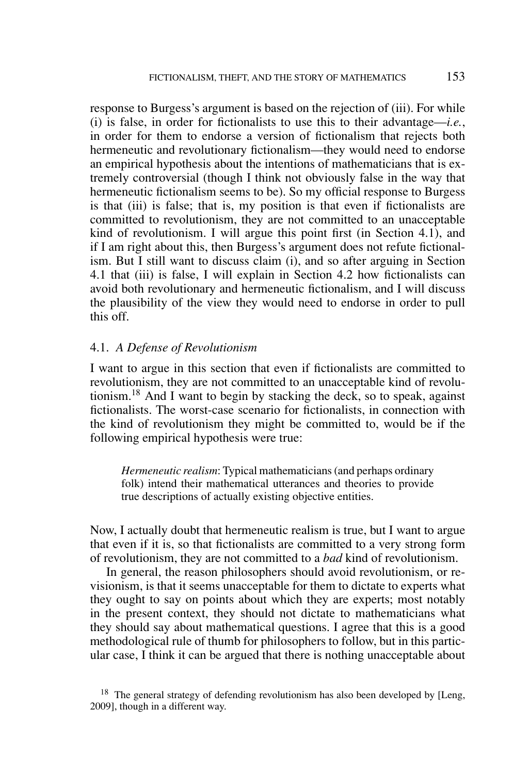response to Burgess's argument is based on the rejection of (iii). For while (i) is false, in order for fictionalists to use this to their advantage—*i.e.*, in order for them to endorse a version of fictionalism that rejects both hermeneutic and revolutionary fictionalism—they would need to endorse an empirical hypothesis about the intentions of mathematicians that is extremely controversial (though I think not obviously false in the way that hermeneutic fictionalism seems to be). So my official response to Burgess is that (iii) is false; that is, my position is that even if fictionalists are committed to revolutionism, they are not committed to an unacceptable kind of revolutionism. I will argue this point first (in Section 4.1), and if I am right about this, then Burgess's argument does not refute fictionalism. But I still want to discuss claim (i), and so after arguing in Section 4.1 that (iii) is false, I will explain in Section 4.2 how fictionalists can avoid both revolutionary and hermeneutic fictionalism, and I will discuss the plausibility of the view they would need to endorse in order to pull this off.

#### 4.1. *A Defense of Revolutionism*

I want to argue in this section that even if fictionalists are committed to revolutionism, they are not committed to an unacceptable kind of revolutionism.<sup>18</sup> And I want to begin by stacking the deck, so to speak, against fictionalists. The worst-case scenario for fictionalists, in connection with the kind of revolutionism they might be committed to, would be if the following empirical hypothesis were true:

*Hermeneutic realism*: Typical mathematicians (and perhaps ordinary folk) intend their mathematical utterances and theories to provide true descriptions of actually existing objective entities.

Now, I actually doubt that hermeneutic realism is true, but I want to argue that even if it is, so that fictionalists are committed to a very strong form of revolutionism, they are not committed to a *bad* kind of revolutionism.

In general, the reason philosophers should avoid revolutionism, or revisionism, is that it seems unacceptable for them to dictate to experts what they ought to say on points about which they are experts; most notably in the present context, they should not dictate to mathematicians what they should say about mathematical questions. I agree that this is a good methodological rule of thumb for philosophers to follow, but in this particular case, I think it can be argued that there is nothing unacceptable about

<sup>&</sup>lt;sup>18</sup> The general strategy of defending revolutionism has also been developed by [Leng, 2009], though in a different way.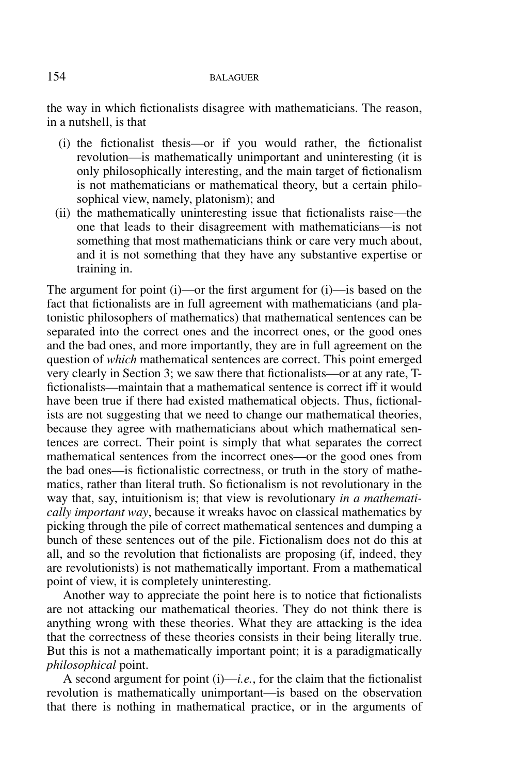the way in which fictionalists disagree with mathematicians. The reason, in a nutshell, is that

- (i) the fictionalist thesis—or if you would rather, the fictionalist revolution—is mathematically unimportant and uninteresting (it is only philosophically interesting, and the main target of fictionalism is not mathematicians or mathematical theory, but a certain philosophical view, namely, platonism); and
- (ii) the mathematically uninteresting issue that fictionalists raise—the one that leads to their disagreement with mathematicians—is not something that most mathematicians think or care very much about, and it is not something that they have any substantive expertise or training in.

The argument for point (i)—or the first argument for (i)—is based on the fact that fictionalists are in full agreement with mathematicians (and platonistic philosophers of mathematics) that mathematical sentences can be separated into the correct ones and the incorrect ones, or the good ones and the bad ones, and more importantly, they are in full agreement on the question of *which* mathematical sentences are correct. This point emerged very clearly in Section 3; we saw there that fictionalists—or at any rate, Tfictionalists—maintain that a mathematical sentence is correct iff it would have been true if there had existed mathematical objects. Thus, fictionalists are not suggesting that we need to change our mathematical theories, because they agree with mathematicians about which mathematical sentences are correct. Their point is simply that what separates the correct mathematical sentences from the incorrect ones—or the good ones from the bad ones—is fictionalistic correctness, or truth in the story of mathematics, rather than literal truth. So fictionalism is not revolutionary in the way that, say, intuitionism is; that view is revolutionary *in a mathematically important way*, because it wreaks havoc on classical mathematics by picking through the pile of correct mathematical sentences and dumping a bunch of these sentences out of the pile. Fictionalism does not do this at all, and so the revolution that fictionalists are proposing (if, indeed, they are revolutionists) is not mathematically important. From a mathematical point of view, it is completely uninteresting.

Another way to appreciate the point here is to notice that fictionalists are not attacking our mathematical theories. They do not think there is anything wrong with these theories. What they are attacking is the idea that the correctness of these theories consists in their being literally true. But this is not a mathematically important point; it is a paradigmatically *philosophical* point.

A second argument for point (i)—*i.e.*, for the claim that the fictionalist revolution is mathematically unimportant—is based on the observation that there is nothing in mathematical practice, or in the arguments of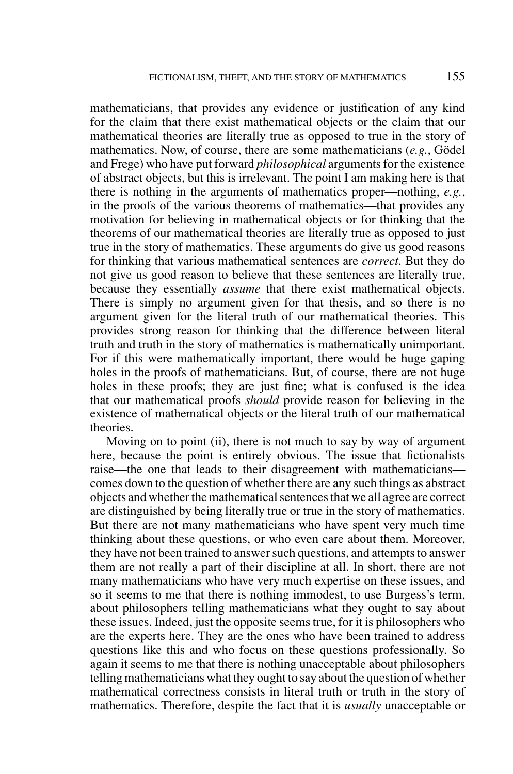mathematicians, that provides any evidence or justification of any kind for the claim that there exist mathematical objects or the claim that our mathematical theories are literally true as opposed to true in the story of mathematics. Now, of course, there are some mathematicians (e.g., Gödel and Frege) who have put forward *philosophical* arguments for the existence of abstract objects, but this is irrelevant. The point I am making here is that there is nothing in the arguments of mathematics proper—nothing, *e.g.*, in the proofs of the various theorems of mathematics—that provides any motivation for believing in mathematical objects or for thinking that the theorems of our mathematical theories are literally true as opposed to just true in the story of mathematics. These arguments do give us good reasons for thinking that various mathematical sentences are *correct*. But they do not give us good reason to believe that these sentences are literally true, because they essentially *assume* that there exist mathematical objects. There is simply no argument given for that thesis, and so there is no argument given for the literal truth of our mathematical theories. This provides strong reason for thinking that the difference between literal truth and truth in the story of mathematics is mathematically unimportant. For if this were mathematically important, there would be huge gaping holes in the proofs of mathematicians. But, of course, there are not huge holes in these proofs; they are just fine; what is confused is the idea that our mathematical proofs *should* provide reason for believing in the existence of mathematical objects or the literal truth of our mathematical theories.

Moving on to point (ii), there is not much to say by way of argument here, because the point is entirely obvious. The issue that fictionalists raise—the one that leads to their disagreement with mathematicians comes down to the question of whether there are any such things as abstract objects and whether the mathematical sentences that we all agree are correct are distinguished by being literally true or true in the story of mathematics. But there are not many mathematicians who have spent very much time thinking about these questions, or who even care about them. Moreover, they have not been trained to answer such questions, and attempts to answer them are not really a part of their discipline at all. In short, there are not many mathematicians who have very much expertise on these issues, and so it seems to me that there is nothing immodest, to use Burgess's term, about philosophers telling mathematicians what they ought to say about these issues. Indeed, just the opposite seems true, for it is philosophers who are the experts here. They are the ones who have been trained to address questions like this and who focus on these questions professionally. So again it seems to me that there is nothing unacceptable about philosophers telling mathematicians what they ought to say about the question of whether mathematical correctness consists in literal truth or truth in the story of mathematics. Therefore, despite the fact that it is *usually* unacceptable or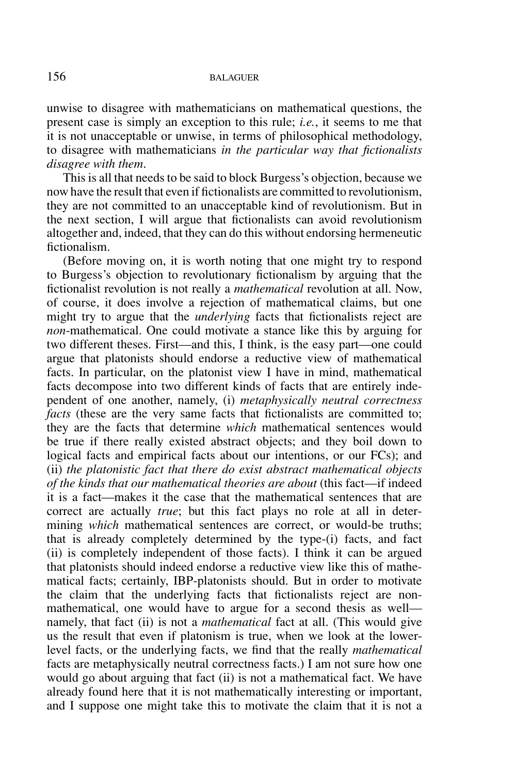unwise to disagree with mathematicians on mathematical questions, the present case is simply an exception to this rule; *i.e.*, it seems to me that it is not unacceptable or unwise, in terms of philosophical methodology, to disagree with mathematicians *in the particular way that fictionalists disagree with them*.

This is all that needs to be said to block Burgess's objection, because we now have the result that even if fictionalists are committed to revolutionism, they are not committed to an unacceptable kind of revolutionism. But in the next section, I will argue that fictionalists can avoid revolutionism altogether and, indeed, that they can do this without endorsing hermeneutic fictionalism.

(Before moving on, it is worth noting that one might try to respond to Burgess's objection to revolutionary fictionalism by arguing that the fictionalist revolution is not really a *mathematical* revolution at all. Now, of course, it does involve a rejection of mathematical claims, but one might try to argue that the *underlying* facts that fictionalists reject are *non*-mathematical. One could motivate a stance like this by arguing for two different theses. First—and this, I think, is the easy part—one could argue that platonists should endorse a reductive view of mathematical facts. In particular, on the platonist view I have in mind, mathematical facts decompose into two different kinds of facts that are entirely independent of one another, namely, (i) *metaphysically neutral correctness facts* (these are the very same facts that fictionalists are committed to; they are the facts that determine *which* mathematical sentences would be true if there really existed abstract objects; and they boil down to logical facts and empirical facts about our intentions, or our FCs); and (ii) *the platonistic fact that there do exist abstract mathematical objects of the kinds that our mathematical theories are about* (this fact—if indeed it is a fact—makes it the case that the mathematical sentences that are correct are actually *true*; but this fact plays no role at all in determining *which* mathematical sentences are correct, or would-be truths; that is already completely determined by the type-(i) facts, and fact (ii) is completely independent of those facts). I think it can be argued that platonists should indeed endorse a reductive view like this of mathematical facts; certainly, IBP-platonists should. But in order to motivate the claim that the underlying facts that fictionalists reject are nonmathematical, one would have to argue for a second thesis as well namely, that fact (ii) is not a *mathematical* fact at all. (This would give us the result that even if platonism is true, when we look at the lowerlevel facts, or the underlying facts, we find that the really *mathematical* facts are metaphysically neutral correctness facts.) I am not sure how one would go about arguing that fact (ii) is not a mathematical fact. We have already found here that it is not mathematically interesting or important, and I suppose one might take this to motivate the claim that it is not a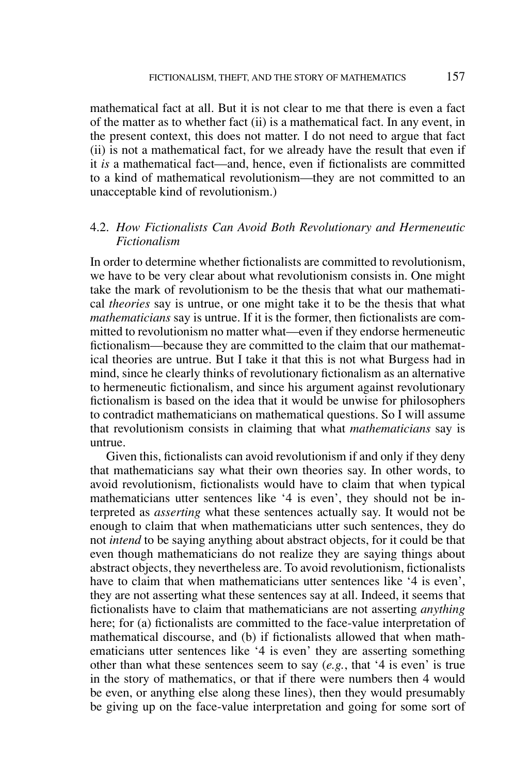mathematical fact at all. But it is not clear to me that there is even a fact of the matter as to whether fact (ii) is a mathematical fact. In any event, in the present context, this does not matter. I do not need to argue that fact (ii) is not a mathematical fact, for we already have the result that even if it *is* a mathematical fact—and, hence, even if fictionalists are committed to a kind of mathematical revolutionism—they are not committed to an unacceptable kind of revolutionism.)

# 4.2. *How Fictionalists Can Avoid Both Revolutionary and Hermeneutic Fictionalism*

In order to determine whether fictionalists are committed to revolutionism, we have to be very clear about what revolutionism consists in. One might take the mark of revolutionism to be the thesis that what our mathematical *theories* say is untrue, or one might take it to be the thesis that what *mathematicians* say is untrue. If it is the former, then fictionalists are committed to revolutionism no matter what—even if they endorse hermeneutic fictionalism—because they are committed to the claim that our mathematical theories are untrue. But I take it that this is not what Burgess had in mind, since he clearly thinks of revolutionary fictionalism as an alternative to hermeneutic fictionalism, and since his argument against revolutionary fictionalism is based on the idea that it would be unwise for philosophers to contradict mathematicians on mathematical questions. So I will assume that revolutionism consists in claiming that what *mathematicians* say is untrue.

Given this, fictionalists can avoid revolutionism if and only if they deny that mathematicians say what their own theories say. In other words, to avoid revolutionism, fictionalists would have to claim that when typical mathematicians utter sentences like '4 is even', they should not be interpreted as *asserting* what these sentences actually say. It would not be enough to claim that when mathematicians utter such sentences, they do not *intend* to be saying anything about abstract objects, for it could be that even though mathematicians do not realize they are saying things about abstract objects, they nevertheless are. To avoid revolutionism, fictionalists have to claim that when mathematicians utter sentences like '4 is even'. they are not asserting what these sentences say at all. Indeed, it seems that fictionalists have to claim that mathematicians are not asserting *anything* here; for (a) fictionalists are committed to the face-value interpretation of mathematical discourse, and (b) if fictionalists allowed that when mathematicians utter sentences like '4 is even' they are asserting something other than what these sentences seem to say (*e.g.*, that '4 is even' is true in the story of mathematics, or that if there were numbers then 4 would be even, or anything else along these lines), then they would presumably be giving up on the face-value interpretation and going for some sort of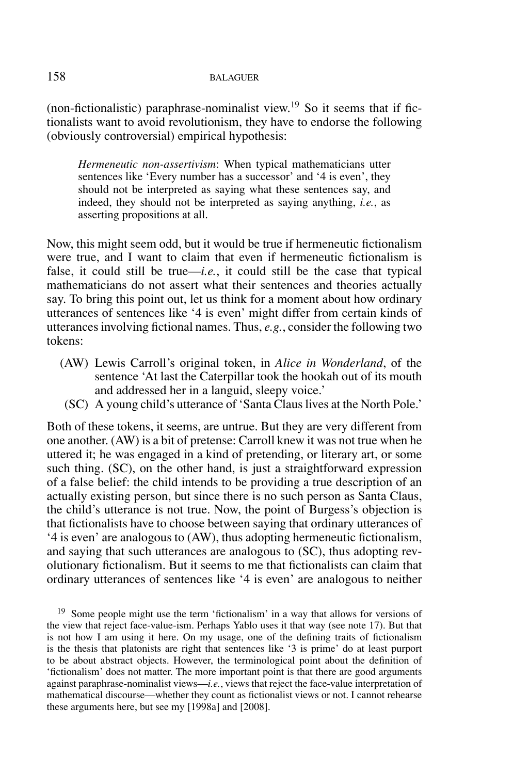(non-fictionalistic) paraphrase-nominalist view.<sup>19</sup> So it seems that if fictionalists want to avoid revolutionism, they have to endorse the following (obviously controversial) empirical hypothesis:

*Hermeneutic non-assertivism*: When typical mathematicians utter sentences like 'Every number has a successor' and '4 is even', they should not be interpreted as saying what these sentences say, and indeed, they should not be interpreted as saying anything, *i.e.*, as asserting propositions at all.

Now, this might seem odd, but it would be true if hermeneutic fictionalism were true, and I want to claim that even if hermeneutic fictionalism is false, it could still be true—*i.e.*, it could still be the case that typical mathematicians do not assert what their sentences and theories actually say. To bring this point out, let us think for a moment about how ordinary utterances of sentences like '4 is even' might differ from certain kinds of utterances involving fictional names. Thus, *e.g.*, consider the following two tokens:

- (AW) Lewis Carroll's original token, in *Alice in Wonderland*, of the sentence 'At last the Caterpillar took the hookah out of its mouth and addressed her in a languid, sleepy voice.'
- (SC) A young child's utterance of 'Santa Claus lives at the North Pole.'

Both of these tokens, it seems, are untrue. But they are very different from one another. (AW) is a bit of pretense: Carroll knew it was not true when he uttered it; he was engaged in a kind of pretending, or literary art, or some such thing. (SC), on the other hand, is just a straightforward expression of a false belief: the child intends to be providing a true description of an actually existing person, but since there is no such person as Santa Claus, the child's utterance is not true. Now, the point of Burgess's objection is that fictionalists have to choose between saying that ordinary utterances of '4 is even' are analogous to (AW), thus adopting hermeneutic fictionalism, and saying that such utterances are analogous to (SC), thus adopting revolutionary fictionalism. But it seems to me that fictionalists can claim that ordinary utterances of sentences like '4 is even' are analogous to neither

 $19$  Some people might use the term 'fictionalism' in a way that allows for versions of the view that reject face-value-ism. Perhaps Yablo uses it that way (see note 17). But that is not how I am using it here. On my usage, one of the defining traits of fictionalism is the thesis that platonists are right that sentences like '3 is prime' do at least purport to be about abstract objects. However, the terminological point about the definition of 'fictionalism' does not matter. The more important point is that there are good arguments against paraphrase-nominalist views—*i.e.*, views that reject the face-value interpretation of mathematical discourse—whether they count as fictionalist views or not. I cannot rehearse these arguments here, but see my [1998a] and [2008].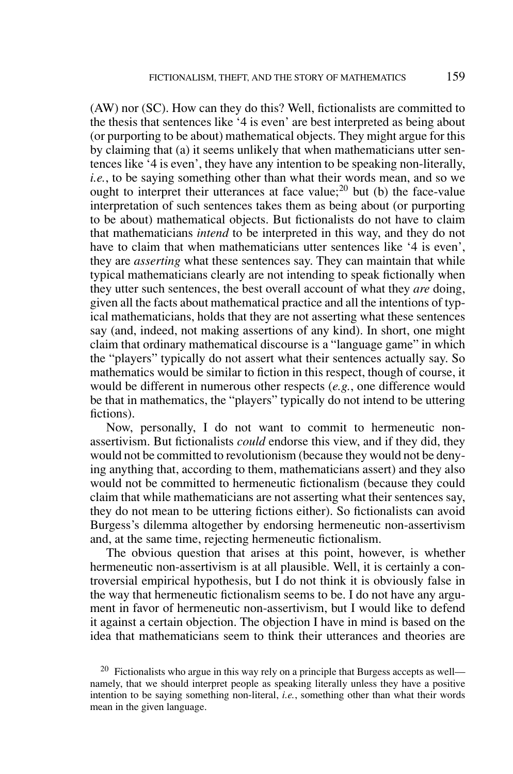(AW) nor (SC). How can they do this? Well, fictionalists are committed to the thesis that sentences like '4 is even' are best interpreted as being about (or purporting to be about) mathematical objects. They might argue for this by claiming that (a) it seems unlikely that when mathematicians utter sentences like '4 is even', they have any intention to be speaking non-literally, *i.e.*, to be saying something other than what their words mean, and so we ought to interpret their utterances at face value;<sup>20</sup> but (b) the face-value interpretation of such sentences takes them as being about (or purporting to be about) mathematical objects. But fictionalists do not have to claim that mathematicians *intend* to be interpreted in this way, and they do not have to claim that when mathematicians utter sentences like '4 is even', they are *asserting* what these sentences say. They can maintain that while typical mathematicians clearly are not intending to speak fictionally when they utter such sentences, the best overall account of what they *are* doing, given all the facts about mathematical practice and all the intentions of typical mathematicians, holds that they are not asserting what these sentences say (and, indeed, not making assertions of any kind). In short, one might claim that ordinary mathematical discourse is a "language game" in which the "players" typically do not assert what their sentences actually say. So mathematics would be similar to fiction in this respect, though of course, it would be different in numerous other respects (*e.g.*, one difference would be that in mathematics, the "players" typically do not intend to be uttering fictions).

Now, personally, I do not want to commit to hermeneutic nonassertivism. But fictionalists *could* endorse this view, and if they did, they would not be committed to revolutionism (because they would not be denying anything that, according to them, mathematicians assert) and they also would not be committed to hermeneutic fictionalism (because they could claim that while mathematicians are not asserting what their sentences say, they do not mean to be uttering fictions either). So fictionalists can avoid Burgess's dilemma altogether by endorsing hermeneutic non-assertivism and, at the same time, rejecting hermeneutic fictionalism.

The obvious question that arises at this point, however, is whether hermeneutic non-assertivism is at all plausible. Well, it is certainly a controversial empirical hypothesis, but I do not think it is obviously false in the way that hermeneutic fictionalism seems to be. I do not have any argument in favor of hermeneutic non-assertivism, but I would like to defend it against a certain objection. The objection I have in mind is based on the idea that mathematicians seem to think their utterances and theories are

 $20$  Fictionalists who argue in this way rely on a principle that Burgess accepts as wellnamely, that we should interpret people as speaking literally unless they have a positive intention to be saying something non-literal, *i.e.*, something other than what their words mean in the given language.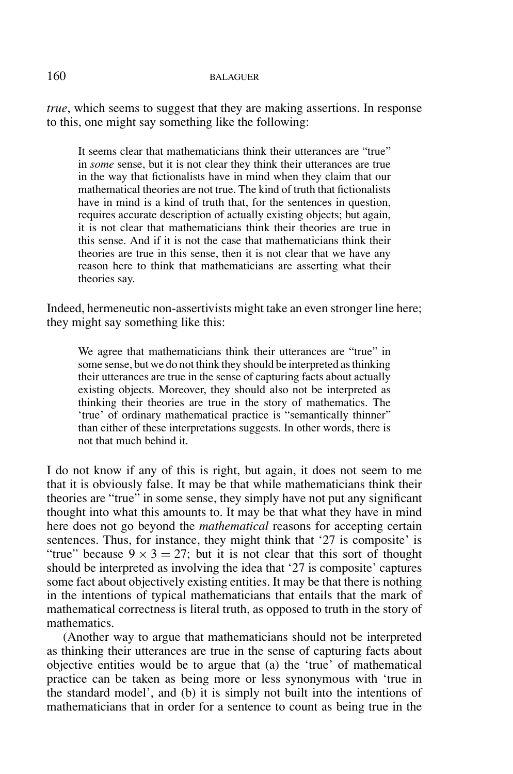*true*, which seems to suggest that they are making assertions. In response to this, one might say something like the following:

It seems clear that mathematicians think their utterances are "true" in *some* sense, but it is not clear they think their utterances are true in the way that fictionalists have in mind when they claim that our mathematical theories are not true. The kind of truth that fictionalists have in mind is a kind of truth that, for the sentences in question, requires accurate description of actually existing objects; but again, it is not clear that mathematicians think their theories are true in this sense. And if it is not the case that mathematicians think their theories are true in this sense, then it is not clear that we have any reason here to think that mathematicians are asserting what their theories say.

Indeed, hermeneutic non-assertivists might take an even stronger line here; they might say something like this:

We agree that mathematicians think their utterances are "true" in some sense, but we do not think they should be interpreted as thinking their utterances are true in the sense of capturing facts about actually existing objects. Moreover, they should also not be interpreted as thinking their theories are true in the story of mathematics. The 'true' of ordinary mathematical practice is "semantically thinner" than either of these interpretations suggests. In other words, there is not that much behind it.

I do not know if any of this is right, but again, it does not seem to me that it is obviously false. It may be that while mathematicians think their theories are "true" in some sense, they simply have not put any significant thought into what this amounts to. It may be that what they have in mind here does not go beyond the *mathematical* reasons for accepting certain sentences. Thus, for instance, they might think that '27 is composite' is "true" because  $9 \times 3 = 27$ ; but it is not clear that this sort of thought should be interpreted as involving the idea that '27 is composite' captures some fact about objectively existing entities. It may be that there is nothing in the intentions of typical mathematicians that entails that the mark of mathematical correctness is literal truth, as opposed to truth in the story of mathematics.

(Another way to argue that mathematicians should not be interpreted as thinking their utterances are true in the sense of capturing facts about objective entities would be to argue that (a) the 'true' of mathematical practice can be taken as being more or less synonymous with 'true in the standard model', and (b) it is simply not built into the intentions of mathematicians that in order for a sentence to count as being true in the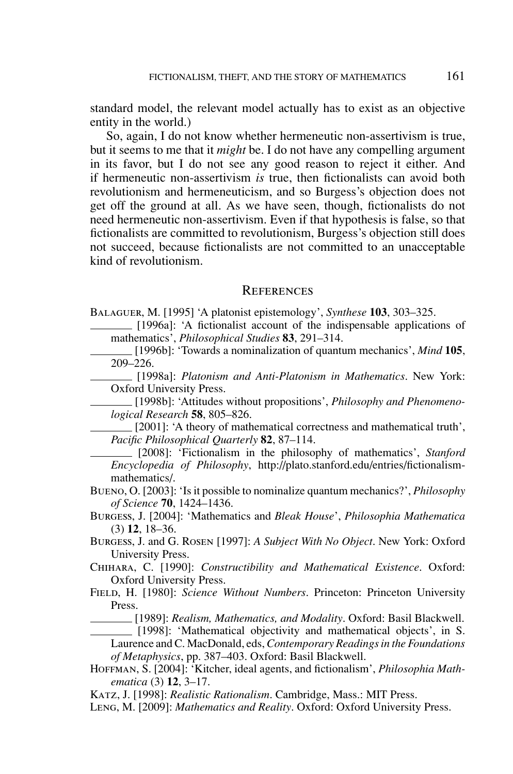standard model, the relevant model actually has to exist as an objective entity in the world.)

So, again, I do not know whether hermeneutic non-assertivism is true, but it seems to me that it *might* be. I do not have any compelling argument in its favor, but I do not see any good reason to reject it either. And if hermeneutic non-assertivism *is* true, then fictionalists can avoid both revolutionism and hermeneuticism, and so Burgess's objection does not get off the ground at all. As we have seen, though, fictionalists do not need hermeneutic non-assertivism. Even if that hypothesis is false, so that fictionalists are committed to revolutionism, Burgess's objection still does not succeed, because fictionalists are not committed to an unacceptable kind of revolutionism.

#### **REFERENCES**

Balaguer, M. [1995] 'A platonist epistemology', *Synthese* **103**, 303–325.

[1996a]: 'A fictionalist account of the indispensable applications of mathematics', *Philosophical Studies* **83**, 291–314.

[1996b]: 'Towards a nominalization of quantum mechanics', *Mind* **105**, 209–226.

[1998a]: *Platonism and Anti-Platonism in Mathematics*. New York: Oxford University Press.

[1998b]: 'Attitudes without propositions', *Philosophy and Phenomenological Research* **58**, 805–826.

[2001]: 'A theory of mathematical correctness and mathematical truth', *Pacific Philosophical Quarterly* **82**, 87–114.

[2008]: 'Fictionalism in the philosophy of mathematics', *Stanford Encyclopedia of Philosophy*, http://plato.stanford.edu/entries/fictionalismmathematics/.

Bueno, O. [2003]: 'Is it possible to nominalize quantum mechanics?', *Philosophy of Science* **70**, 1424–1436.

Burgess, J. [2004]: 'Mathematics and *Bleak House*', *Philosophia Mathematica* (3) **12**, 18–36.

Burgess, J. and G. Rosen [1997]: *A Subject With No Object*. New York: Oxford University Press.

Chihara, C. [1990]: *Constructibility and Mathematical Existence*. Oxford: Oxford University Press.

Field, H. [1980]: *Science Without Numbers*. Princeton: Princeton University Press.

[1989]: *Realism, Mathematics, and Modality*. Oxford: Basil Blackwell.

[1998]: 'Mathematical objectivity and mathematical objects', in S. Laurence and C. MacDonald, eds,*Contemporary Readings in the Foundations of Metaphysics*, pp. 387–403. Oxford: Basil Blackwell.

HOFFMAN, S. [2004]: 'Kitcher, ideal agents, and fictionalism', *Philosophia Mathematica* (3) **12**, 3–17.

Katz, J. [1998]: *Realistic Rationalism*. Cambridge, Mass.: MIT Press.

Leng, M. [2009]: *Mathematics and Reality*. Oxford: Oxford University Press.